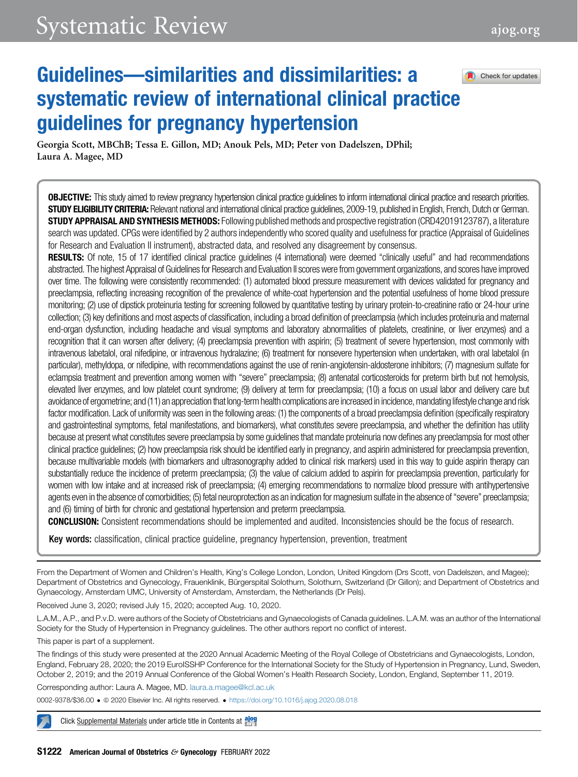Check for updates

# Guidelines—similarities and dissimilarities: a systematic review of international clinical practice guidelines for pregnancy hypertension

Georgia Scott, MBChB; Tessa E. Gillon, MD; Anouk Pels, MD; Peter von Dadelszen, DPhil; Laura A. Magee, MD

**OBJECTIVE:** This study aimed to review pregnancy hypertension clinical practice guidelines to inform international clinical practice and research priorities. STUDY ELIGIBILITY CRITERIA: Relevant national and international clinical practice guidelines, 2009-19, published in English, French, Dutch or German. STUDY APPRAISAL AND SYNTHESIS METHODS: Following published methods and prospective registration (CRD42019123787), a literature search was updated. CPGs were identified by 2 authors independently who scored quality and usefulness for practice (Appraisal of Guidelines for Research and Evaluation II instrument), abstracted data, and resolved any disagreement by consensus.

RESULTS: Of note, 15 of 17 identified clinical practice guidelines (4 international) were deemed "clinically useful" and had recommendations abstracted. The highest Appraisal of Guidelines for Research and Evaluation II scores were from government organizations, and scores have improved over time. The following were consistently recommended: (1) automated blood pressure measurement with devices validated for pregnancy and preeclampsia, reflecting increasing recognition of the prevalence of white-coat hypertension and the potential usefulness of home blood pressure monitoring; (2) use of dipstick proteinuria testing for screening followed by quantitative testing by urinary protein-to-creatinine ratio or 24-hour urine collection; (3) key definitions and most aspects of classification, including a broad definition of preeclampsia (which includes proteinuria and maternal end-organ dysfunction, including headache and visual symptoms and laboratory abnormalities of platelets, creatinine, or liver enzymes) and a recognition that it can worsen after delivery; (4) preeclampsia prevention with aspirin; (5) treatment of severe hypertension, most commonly with intravenous labetalol, oral nifedipine, or intravenous hydralazine; (6) treatment for nonsevere hypertension when undertaken, with oral labetalol (in particular), methyldopa, or nifedipine, with recommendations against the use of renin-angiotensin-aldosterone inhibitors; (7) magnesium sulfate for eclampsia treatment and prevention among women with "severe" preeclampsia; (8) antenatal corticosteroids for preterm birth but not hemolysis, elevated liver enzymes, and low platelet count syndrome; (9) delivery at term for preeclampsia; (10) a focus on usual labor and delivery care but avoidance of ergometrine; and (11) an appreciation that long-term health complications are increased in incidence, mandating lifestyle change and risk factor modification. Lack of uniformity was seen in the following areas: (1) the components of a broad preeclampsia definition (specifically respiratory and gastrointestinal symptoms, fetal manifestations, and biomarkers), what constitutes severe preeclampsia, and whether the definition has utility because at present what constitutes severe preeclampsia by some guidelines that mandate proteinuria now defines any preeclampsia for most other clinical practice guidelines; (2) how preeclampsia risk should be identified early in pregnancy, and aspirin administered for preeclampsia prevention, because multivariable models (with biomarkers and ultrasonography added to clinical risk markers) used in this way to guide aspirin therapy can substantially reduce the incidence of preterm preeclampsia; (3) the value of calcium added to aspirin for preeclampsia prevention, particularly for women with low intake and at increased risk of preeclampsia; (4) emerging recommendations to normalize blood pressure with antihypertensive agents even in the absence of comorbidities; (5) fetal neuroprotection as an indication for magnesium sulfate in the absence of "severe" preeclampsia; and (6) timing of birth for chronic and gestational hypertension and preterm preeclampsia.

CONCLUSION: Consistent recommendations should be implemented and audited. Inconsistencies should be the focus of research.

Key words: classification, clinical practice guideline, pregnancy hypertension, prevention, treatment

From the Department of Women and Children's Health, King's College London, London, United Kingdom (Drs Scott, von Dadelszen, and Magee); Department of Obstetrics and Gynecology, Frauenklinik, Bürgerspital Solothurn, Solothurn, Switzerland (Dr Gillon); and Department of Obstetrics and Gynaecology, Amsterdam UMC, University of Amsterdam, Amsterdam, the Netherlands (Dr Pels).

Received June 3, 2020; revised July 15, 2020; accepted Aug. 10, 2020.

L.A.M., A.P., and P.v.D. were authors of the Society of Obstetricians and Gynaecologists of Canada guidelines. L.A.M. was an author of the International Society for the Study of Hypertension in Pregnancy guidelines. The other authors report no conflict of interest.

This paper is part of a supplement.

The findings of this study were presented at the 2020 Annual Academic Meeting of the Royal College of Obstetricians and Gynaecologists, London, England, February 28, 2020; the 2019 EuroISSHP Conference for the International Society for the Study of Hypertension in Pregnancy, Lund, Sweden, October 2, 2019; and the 2019 Annual Conference of the Global Women's Health Research Society, London, England, September 11, 2019.

Corresponding author: Laura A. Magee, MD. [laura.a.magee@kcl.ac.uk](mailto:laura.a.magee@kcl.ac.uk)

0002-9378/\$36.00 ª 2020 Elsevier Inc. All rights reserved. <https://doi.org/10.1016/j.ajog.2020.08.018>

Click Supplemental Materials under article title in Contents at along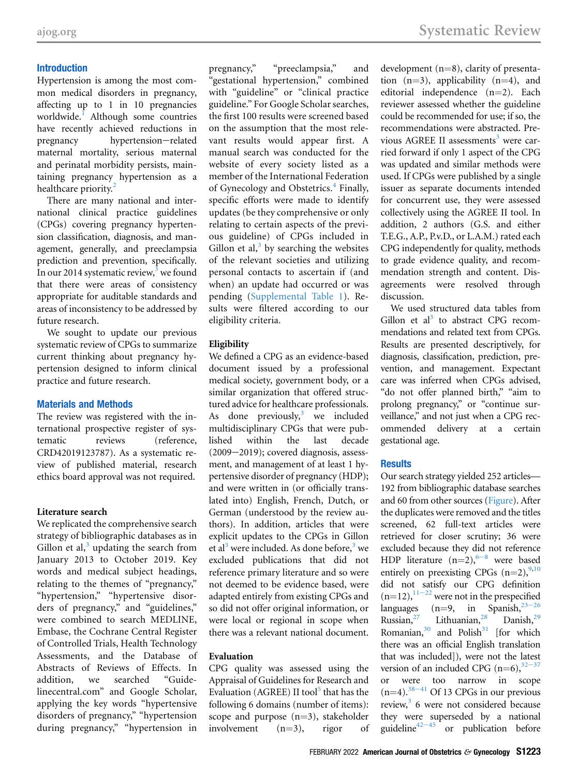#### Introduction

Hypertension is among the most common medical disorders in pregnancy, affecting up to 1 in 10 pregnancies worldwide.<sup>[1](#page-11-0)</sup> Although some countries have recently achieved reductions in pregnancy hypertension-related maternal mortality, serious maternal and perinatal morbidity persists, maintaining pregnancy hypertension as a healthcare priority.<sup>[2](#page-11-1)</sup>

There are many national and international clinical practice guidelines (CPGs) covering pregnancy hypertension classification, diagnosis, and management, generally, and preeclampsia prediction and prevention, specifically. In our 2014 systematic review, $3$  we found that there were areas of consistency appropriate for auditable standards and areas of inconsistency to be addressed by future research.

We sought to update our previous systematic review of CPGs to summarize current thinking about pregnancy hypertension designed to inform clinical practice and future research.

#### Materials and Methods

The review was registered with the international prospective register of systematic reviews (reference, CRD42019123787). As a systematic review of published material, research ethics board approval was not required.

#### Literature search

We replicated the comprehensive search strategy of bibliographic databases as in Gillon et al, $3$  updating the search from January 2013 to October 2019. Key words and medical subject headings, relating to the themes of "pregnancy," "hypertension," "hypertensive disorders of pregnancy," and "guidelines," were combined to search MEDLINE, Embase, the Cochrane Central Register of Controlled Trials, Health Technology Assessments, and the Database of Abstracts of Reviews of Effects. In addition, we searched "Guidelinecentral.com" and Google Scholar, applying the key words "hypertensive disorders of pregnancy," "hypertension during pregnancy," "hypertension in

pregnancy," "preeclampsia," and "gestational hypertension," combined with "guideline" or "clinical practice guideline." For Google Scholar searches, the first 100 results were screened based on the assumption that the most relevant results would appear first. A manual search was conducted for the website of every society listed as a member of the International Federation of Gynecology and Obstetrics.<sup>[4](#page-12-1)</sup> Finally, specific efforts were made to identify updates (be they comprehensive or only relating to certain aspects of the previous guideline) of CPGs included in Gillon et al, $3$  by searching the websites of the relevant societies and utilizing personal contacts to ascertain if (and when) an update had occurred or was pending (Supplemental Table 1). Results were filtered according to our eligibility criteria.

## Eligibility

We defined a CPG as an evidence-based document issued by a professional medical society, government body, or a similar organization that offered structured advice for healthcare professionals. As done previously, $3$  we included multidisciplinary CPGs that were published within the last decade  $(2009-2019)$ ; covered diagnosis, assessment, and management of at least 1 hypertensive disorder of pregnancy (HDP); and were written in (or officially translated into) English, French, Dutch, or German (understood by the review authors). In addition, articles that were explicit updates to the CPGs in Gillon et al<sup>[3](#page-12-0)</sup> were included. As done before,<sup>3</sup> we excluded publications that did not reference primary literature and so were not deemed to be evidence based, were adapted entirely from existing CPGs and so did not offer original information, or were local or regional in scope when there was a relevant national document.

#### Evaluation

CPG quality was assessed using the Appraisal of Guidelines for Research and Evaluation (AGREE) II tool<sup>[5](#page-12-2)</sup> that has the following 6 domains (number of items): scope and purpose  $(n=3)$ , stakeholder<br>involvement  $(n=3)$ , rigor of involvement

development  $(n=8)$ , clarity of presentation  $(n=3)$ , applicability  $(n=4)$ , and editorial independence  $(n=2)$ . Each reviewer assessed whether the guideline could be recommended for use; if so, the recommendations were abstracted. Pre-vious AGREE II assessments<sup>[3](#page-12-0)</sup> were carried forward if only 1 aspect of the CPG was updated and similar methods were used. If CPGs were published by a single issuer as separate documents intended for concurrent use, they were assessed collectively using the AGREE II tool. In addition, 2 authors (G.S. and either T.E.G., A.P., P.v.D., or L.A.M.) rated each CPG independently for quality, methods to grade evidence quality, and recommendation strength and content. Disagreements were resolved through discussion.

We used structured data tables from Gillon et  $al^3$  $al^3$  to abstract CPG recommendations and related text from CPGs. Results are presented descriptively, for diagnosis, classification, prediction, prevention, and management. Expectant care was inferred when CPGs advised, "do not offer planned birth," "aim to prolong pregnancy," or "continue surveillance," and not just when a CPG recommended delivery at a certain gestational age.

#### **Results**

Our search strategy yielded 252 articles— 192 from bibliographic database searches and 60 from other sources ([Figure](#page-3-0)). After the duplicates were removed and the titles screened, 62 full-text articles were retrieved for closer scrutiny; 36 were excluded because they did not reference HDP lit[e](#page-12-3)rature  $(n=2)$ ,  $6-8$  were based entirely on preexisting CPGs  $(n=2)$ , <sup>[9](#page-12-4),[10](#page-12-5)</sup> did not satisfy our CPG definition  $(n=12)$ ,  $11-22$  were not in the prespecified languages (n=9, in Spanish,  $2^{25-26}$ <br>Russian,  $27$  Lithuanian,  $28$  Danish,  $29$ Lithuanian, $28$ Romanian, $30$  and Polish $31$  [for which there was an official English translation that was included]), were not the latest version of an included CPG  $(n=6)$ ,<sup>32-37</sup><br>or were too narrow in scope were too narrow in scope  $(n=4).$ <sup>[38](#page-13-0)-41</sup> Of 13 CPGs in our previous review,<sup>[3](#page-12-0)</sup> 6 were not considered because they were superseded by a national guideline<sup>42-45</sup> or publication before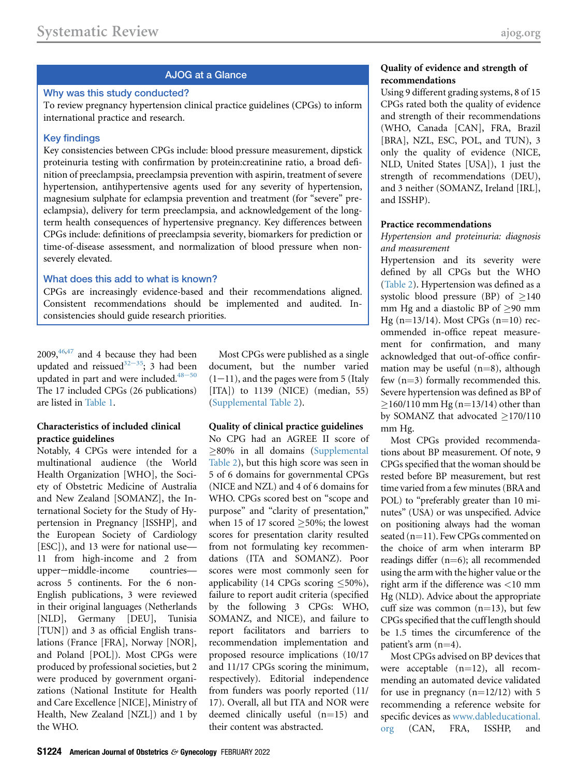#### AJOG at a Glance

### Why was this study conducted?

To review pregnancy hypertension clinical practice guidelines (CPGs) to inform international practice and research.

#### Key findings

Key consistencies between CPGs include: blood pressure measurement, dipstick proteinuria testing with confirmation by protein:creatinine ratio, a broad definition of preeclampsia, preeclampsia prevention with aspirin, treatment of severe hypertension, antihypertensive agents used for any severity of hypertension, magnesium sulphate for eclampsia prevention and treatment (for "severe" preeclampsia), delivery for term preeclampsia, and acknowledgement of the longterm health consequences of hypertensive pregnancy. Key differences between CPGs include: definitions of preeclampsia severity, biomarkers for prediction or time-of-disease assessment, and normalization of blood pressure when nonseverely elevated.

#### What does this add to what is known?

CPGs are increasingly evidence-based and their recommendations aligned. Consistent recommendations should be implemented and audited. Inconsistencies should guide research priorities.

 $2009,$ <sup>[46,](#page-13-2)[47](#page-13-3)</sup> and 4 because they had been updated and reissued<sup>32-35</sup>; 3 had [been](#page-13-4) updated in part and were included. $48-50$ The 17 included CPGs (26 publications) are listed in [Table 1.](#page-4-0)

#### Characteristics of included clinical practice guidelines

Notably, 4 CPGs were intended for a multinational audience (the World Health Organization [WHO], the Society of Obstetric Medicine of Australia and New Zealand [SOMANZ], the International Society for the Study of Hypertension in Pregnancy [ISSHP], and the European Society of Cardiology [ESC]), and 13 were for national use— 11 from high-income and 2 from upper-middle-income countries across 5 continents. For the 6 non-English publications, 3 were reviewed in their original languages (Netherlands [NLD], Germany [DEU], Tunisia [TUN]) and 3 as official English translations (France [FRA], Norway [NOR], and Poland [POL]). Most CPGs were produced by professional societies, but 2 were produced by government organizations (National Institute for Health and Care Excellence [NICE], Ministry of Health, New Zealand [NZL]) and 1 by the WHO.

Most CPGs were published as a single document, but the number varied  $(1-11)$ , and the pages were from 5 (Italy [ITA]) to 1139 (NICE) (median, 55) (Supplemental Table 2).

#### Quality of clinical practice guidelines

No CPG had an AGREE II score of 80% in all domains (Supplemental Table 2), but this high score was seen in 5 of 6 domains for governmental CPGs (NICE and NZL) and 4 of 6 domains for WHO. CPGs scored best on "scope and purpose" and "clarity of presentation," when 15 of 17 scored  $\geq$ 50%; the lowest scores for presentation clarity resulted from not formulating key recommendations (ITA and SOMANZ). Poor scores were most commonly seen for applicability (14 CPGs scoring  $\leq 50\%$ ), failure to report audit criteria (specified by the following 3 CPGs: WHO, SOMANZ, and NICE), and failure to report facilitators and barriers to recommendation implementation and proposed resource implications (10/17 and 11/17 CPGs scoring the minimum, respectively). Editorial independence from funders was poorly reported (11/ 17). Overall, all but ITA and NOR were deemed clinically useful  $(n=15)$  and their content was abstracted.

## Quality of evidence and strength of recommendations

Using 9 different grading systems, 8 of 15 CPGs rated both the quality of evidence and strength of their recommendations (WHO, Canada [CAN], FRA, Brazil [BRA], NZL, ESC, POL, and TUN), 3 only the quality of evidence (NICE, NLD, United States [USA]), 1 just the strength of recommendations (DEU), and 3 neither (SOMANZ, Ireland [IRL], and ISSHP).

#### Practice recommendations

#### Hypertension and proteinuria: diagnosis and measurement

Hypertension and its severity were defined by all CPGs but the WHO [\(Table 2\)](#page-6-0). Hypertension was defined as a systolic blood pressure (BP) of  $\geq$ 140 mm Hg and a diastolic BP of  $\geq$ 90 mm Hg (n=13/14). Most CPGs (n=10) recommended in-office repeat measurement for confirmation, and many acknowledged that out-of-office confirmation may be useful  $(n=8)$ , although few  $(n=3)$  formally recommended this. Severe hypertension was defined as BP of  $\geq$ 160/110 mm Hg (n=13/14) other than by SOMANZ that advocated  $>170/110$ mm Hg.

Most CPGs provided recommendations about BP measurement. Of note, 9 CPGs specified that the woman should be rested before BP measurement, but rest time varied from a few minutes (BRA and POL) to "preferably greater than 10 minutes" (USA) or was unspecified. Advice on positioning always had the woman seated  $(n=11)$ . Few CPGs commented on the choice of arm when interarm BP readings differ  $(n=6)$ ; all recommended using the arm with the higher value or the right arm if the difference was <10 mm Hg (NLD). Advice about the appropriate cuff size was common  $(n=13)$ , but few CPGs specified that the cuff length should be 1.5 times the circumference of the patient's arm  $(n=4)$ .

Most CPGs advised on BP devices that were acceptable  $(n=12)$ , all recommending an automated device validated for use in pregnancy  $(n=12/12)$  with 5 recommending a reference website for specific devices as [www.dableducational.](http://www.dableducational.org) [org](http://www.dableducational.org) (CAN, FRA, ISSHP, and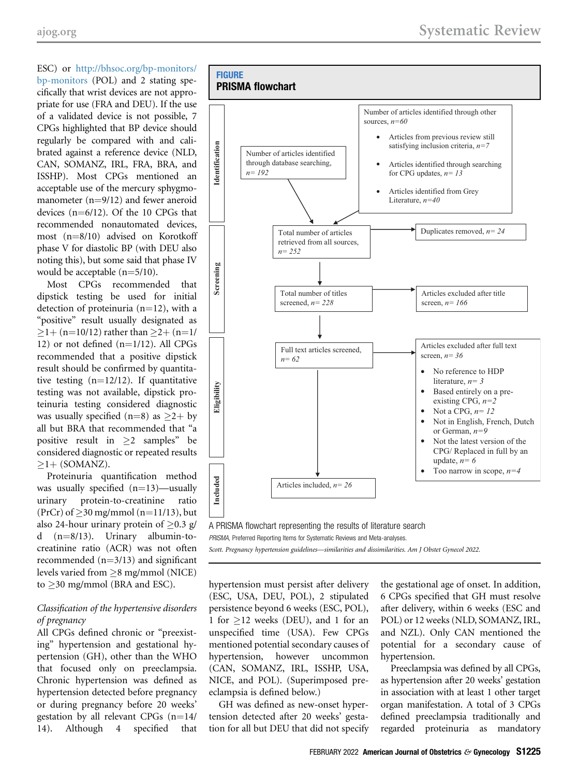ESC) or [http://bhsoc.org/bp-monitors/](http://bhsoc.org/bp-monitors/bp-monitors) [bp-monitors](http://bhsoc.org/bp-monitors/bp-monitors) (POL) and 2 stating specifically that wrist devices are not appropriate for use (FRA and DEU). If the use of a validated device is not possible, 7 CPGs highlighted that BP device should regularly be compared with and calibrated against a reference device (NLD, CAN, SOMANZ, IRL, FRA, BRA, and ISSHP). Most CPGs mentioned an acceptable use of the mercury sphygmomanometer  $(n=9/12)$  and fewer aneroid devices  $(n=6/12)$ . Of the 10 CPGs that recommended nonautomated devices, most  $(n=8/10)$  advised on Korotkoff phase V for diastolic BP (with DEU also noting this), but some said that phase IV would be acceptable  $(n=5/10)$ .

Most CPGs recommended that dipstick testing be used for initial detection of proteinuria ( $n=12$ ), with a "positive" result usually designated as  $\geq$ 1+ (n=10/12) rather than  $\geq$ 2+ (n=1/ 12) or not defined  $(n=1/12)$ . All CPGs recommended that a positive dipstick result should be confirmed by quantitative testing  $(n=12/12)$ . If quantitative testing was not available, dipstick proteinuria testing considered diagnostic was usually specified (n=8) as  $\geq$ 2+ by all but BRA that recommended that "a positive result in  $>2$  samples" be considered diagnostic or repeated results  $\geq$ 1+ (SOMANZ).

Proteinuria quantification method was usually specified  $(n=13)$ —usually<br>urinary protein-to-creatinine ratio protein-to-creatinine (PrCr) of  $\geq$ 30 mg/mmol (n=11/13), but also 24-hour urinary protein of  $\geq$ 0.3 g/<br>d (n=8/13). Urinary albumin-to- $(n=8/13)$ . Urinary albumin-tocreatinine ratio (ACR) was not often recommended  $(n=3/13)$  and significant levels varied from  $\geq$ 8 mg/mmol (NICE) to  $\geq$ 30 mg/mmol (BRA and ESC).

#### Classification of the hypertensive disorders of pregnancy

All CPGs defined chronic or "preexisting" hypertension and gestational hypertension (GH), other than the WHO that focused only on preeclampsia. Chronic hypertension was defined as hypertension detected before pregnancy or during pregnancy before 20 weeks' gestation by all relevant CPGs  $(n=14/14)$ . Although 4 specified that Although 4 specified that

<span id="page-3-0"></span>

A PRISMA flowchart representing the results of literature search

PRISMA, Preferred Reporting Items for Systematic Reviews and Meta-analyses.

Scott. Pregnancy hypertension guidelines—similarities and dissimilarities. Am J Obstet Gynecol 2022.

hypertension must persist after delivery (ESC, USA, DEU, POL), 2 stipulated persistence beyond 6 weeks (ESC, POL), 1 for  $>12$  weeks (DEU), and 1 for an unspecified time (USA). Few CPGs mentioned potential secondary causes of hypertension, however uncommon (CAN, SOMANZ, IRL, ISSHP, USA, NICE, and POL). (Superimposed preeclampsia is defined below.)

GH was defined as new-onset hypertension detected after 20 weeks' gestation for all but DEU that did not specify

the gestational age of onset. In addition, 6 CPGs specified that GH must resolve after delivery, within 6 weeks (ESC and POL) or 12 weeks (NLD, SOMANZ, IRL, and NZL). Only CAN mentioned the potential for a secondary cause of hypertension.

Preeclampsia was defined by all CPGs, as hypertension after 20 weeks' gestation in association with at least 1 other target organ manifestation. A total of 3 CPGs defined preeclampsia traditionally and regarded proteinuria as mandatory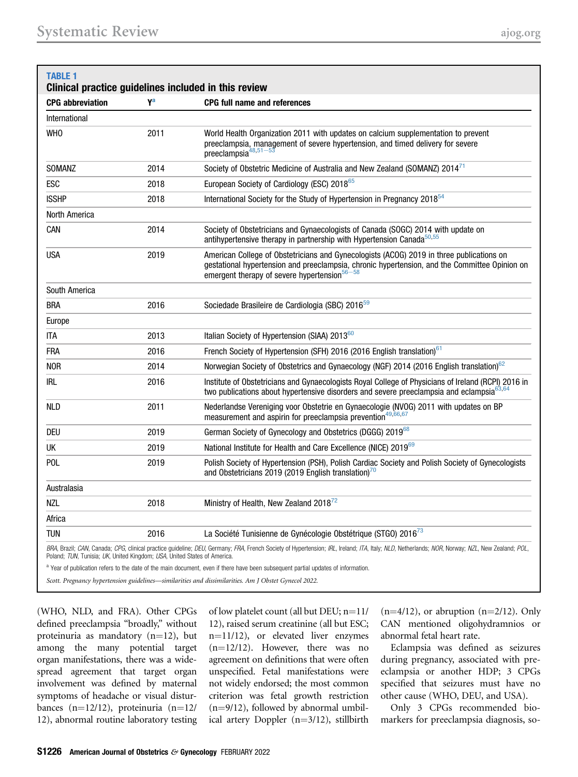<span id="page-4-0"></span>

| <b>TABLE 1</b>                                                           |                | Clinical practice guidelines included in this review                                                                                                                                                                                         |
|--------------------------------------------------------------------------|----------------|----------------------------------------------------------------------------------------------------------------------------------------------------------------------------------------------------------------------------------------------|
| <b>CPG</b> abbreviation                                                  | Y <sup>a</sup> | <b>CPG full name and references</b>                                                                                                                                                                                                          |
| International                                                            |                |                                                                                                                                                                                                                                              |
| <b>WHO</b>                                                               | 2011           | World Health Organization 2011 with updates on calcium supplementation to prevent<br>preeclampsia, management of severe hypertension, and timed delivery for severe<br>preeclampsia48,51-53                                                  |
| <b>SOMANZ</b>                                                            | 2014           | Society of Obstetric Medicine of Australia and New Zealand (SOMANZ) 2014 <sup>71</sup>                                                                                                                                                       |
| ESC                                                                      | 2018           | European Society of Cardiology (ESC) 2018 <sup>65</sup>                                                                                                                                                                                      |
| <b>ISSHP</b>                                                             | 2018           | International Society for the Study of Hypertension in Pregnancy 2018 <sup>54</sup>                                                                                                                                                          |
| North America                                                            |                |                                                                                                                                                                                                                                              |
| CAN                                                                      | 2014           | Society of Obstetricians and Gynaecologists of Canada (SOGC) 2014 with update on<br>antihypertensive therapy in partnership with Hypertension Canada <sup>50,55</sup>                                                                        |
| <b>USA</b>                                                               | 2019           | American College of Obstetricians and Gynecologists (ACOG) 2019 in three publications on<br>gestational hypertension and preeclampsia, chronic hypertension, and the Committee Opinion on<br>emergent therapy of severe hypertension $56-58$ |
| South America                                                            |                |                                                                                                                                                                                                                                              |
| <b>BRA</b>                                                               | 2016           | Sociedade Brasileire de Cardiologia (SBC) 2016 <sup>59</sup>                                                                                                                                                                                 |
| Europe                                                                   |                |                                                                                                                                                                                                                                              |
| <b>ITA</b>                                                               | 2013           | Italian Society of Hypertension (SIAA) 2013 <sup>60</sup>                                                                                                                                                                                    |
| FRA                                                                      | 2016           | French Society of Hypertension (SFH) 2016 (2016 English translation) <sup>61</sup>                                                                                                                                                           |
| NOR                                                                      | 2014           | Norwegian Society of Obstetrics and Gynaecology (NGF) 2014 (2016 English translation) <sup>62</sup>                                                                                                                                          |
| <b>IRL</b>                                                               | 2016           | Institute of Obstetricians and Gynaecologists Royal College of Physicians of Ireland (RCPI) 2016 in<br>two publications about hypertensive disorders and severe preeclampsia and eclampsia <sup>63,64</sup>                                  |
| <b>NLD</b>                                                               | 2011           | Nederlandse Vereniging voor Obstetrie en Gynaecologie (NVOG) 2011 with updates on BP<br>measurement and aspirin for preeclampsia prevention <sup>49,66,67</sup>                                                                              |
| <b>DEU</b>                                                               | 2019           | German Society of Gynecology and Obstetrics (DGGG) 2019 <sup>68</sup>                                                                                                                                                                        |
| UK                                                                       | 2019           | National Institute for Health and Care Excellence (NICE) 201969                                                                                                                                                                              |
| POL                                                                      | 2019           | Polish Society of Hypertension (PSH), Polish Cardiac Society and Polish Society of Gynecologists<br>and Obstetricians 2019 (2019 English translation) <sup>70</sup>                                                                          |
| Australasia                                                              |                |                                                                                                                                                                                                                                              |
| <b>NZL</b>                                                               | 2018           | Ministry of Health, New Zealand 2018 <sup>72</sup>                                                                                                                                                                                           |
| Africa                                                                   |                |                                                                                                                                                                                                                                              |
| <b>TUN</b>                                                               | 2016           | La Société Tunisienne de Gynécologie Obstétrique (STGO) 2016 <sup>73</sup>                                                                                                                                                                   |
| Poland; TUN, Tunisia; UK, United Kingdom; USA, United States of America. |                | BRA, Brazil; CAN, Canada; CPG, clinical practice guideline; DEU, Germany; FRA, French Society of Hypertension; IRL, Ireland; ITA, Italy; NLD, Netherlands; NOR, Norway; NZL, New Zealand; POL,                                               |

<span id="page-4-1"></span><sup>a</sup> Year of publication refers to the date of the main document, even if there have been subsequent partial updates of information.

Scott. Pregnancy hypertension guidelines—similarities and dissimilarities. Am J Obstet Gynecol 2022.

(WHO, NLD, and FRA). Other CPGs defined preeclampsia "broadly," without proteinuria as mandatory  $(n=12)$ , but among the many potential target organ manifestations, there was a widespread agreement that target organ involvement was defined by maternal symptoms of headache or visual disturbances (n=12/12), proteinuria (n=12/ 12), abnormal routine laboratory testing

of low platelet count (all but DEU;  $n=11/11$ 12), raised serum creatinine (all but ESC; n=11/12), or elevated liver enzymes  $(n=12/12)$ . However, there was no agreement on definitions that were often unspecified. Fetal manifestations were not widely endorsed; the most common criterion was fetal growth restriction  $(n=9/12)$ , followed by abnormal umbilical artery Doppler  $(n=3/12)$ , stillbirth

 $(n=4/12)$ , or abruption  $(n=2/12)$ . Only CAN mentioned oligohydramnios or abnormal fetal heart rate.

Eclampsia was defined as seizures during pregnancy, associated with preeclampsia or another HDP; 3 CPGs specified that seizures must have no other cause (WHO, DEU, and USA).

Only 3 CPGs recommended biomarkers for preeclampsia diagnosis, so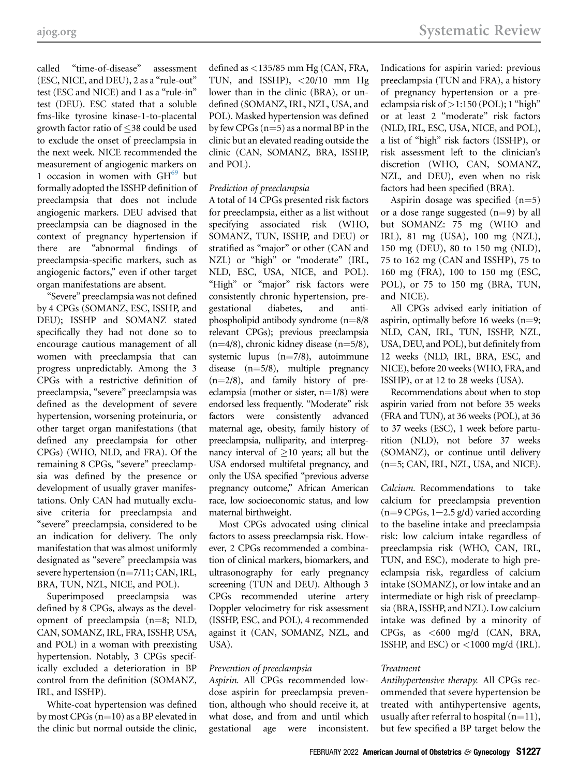[ajog.org](http://www.AJOG.org) Systematic Review

called "time-of-disease" assessment (ESC, NICE, and DEU), 2 as a "rule-out" test (ESC and NICE) and 1 as a "rule-in" test (DEU). ESC stated that a soluble fms-like tyrosine kinase-1-to-placental growth factor ratio of  $\leq$ 38 could be used to exclude the onset of preeclampsia in the next week. NICE recommended the measurement of angiogenic markers on 1 occasion in women with  $GH<sup>69</sup>$  $GH<sup>69</sup>$  $GH<sup>69</sup>$  but formally adopted the ISSHP definition of preeclampsia that does not include angiogenic markers. DEU advised that preeclampsia can be diagnosed in the context of pregnancy hypertension if there are "abnormal findings of preeclampsia-specific markers, such as angiogenic factors," even if other target organ manifestations are absent.

"Severe" preeclampsia was not defined by 4 CPGs (SOMANZ, ESC, ISSHP, and DEU); ISSHP and SOMANZ stated specifically they had not done so to encourage cautious management of all women with preeclampsia that can progress unpredictably. Among the 3 CPGs with a restrictive definition of preeclampsia, "severe" preeclampsia was defined as the development of severe hypertension, worsening proteinuria, or other target organ manifestations (that defined any preeclampsia for other CPGs) (WHO, NLD, and FRA). Of the remaining 8 CPGs, "severe" preeclampsia was defined by the presence or development of usually graver manifestations. Only CAN had mutually exclusive criteria for preeclampsia and "severe" preeclampsia, considered to be an indication for delivery. The only manifestation that was almost uniformly designated as "severe" preeclampsia was severe hypertension  $(n=7/11; CAN, IRL,$ BRA, TUN, NZL, NICE, and POL).

Superimposed preeclampsia was defined by 8 CPGs, always as the development of preeclampsia  $(n=8; NLD,$ CAN, SOMANZ, IRL, FRA, ISSHP, USA, and POL) in a woman with preexisting hypertension. Notably, 3 CPGs specifically excluded a deterioration in BP control from the definition (SOMANZ, IRL, and ISSHP).

White-coat hypertension was defined by most CPGs  $(n=10)$  as a BP elevated in the clinic but normal outside the clinic,

defined as <135/85 mm Hg (CAN, FRA, TUN, and ISSHP),  $\langle 20/10$  mm Hg lower than in the clinic (BRA), or undefined (SOMANZ, IRL, NZL, USA, and POL). Masked hypertension was defined by few CPGs  $(n=5)$  as a normal BP in the clinic but an elevated reading outside the clinic (CAN, SOMANZ, BRA, ISSHP, and POL).

#### Prediction of preeclampsia

A total of 14 CPGs presented risk factors for preeclampsia, either as a list without specifying associated risk (WHO, SOMANZ, TUN, ISSHP, and DEU) or stratified as "major" or other (CAN and NZL) or "high" or "moderate" (IRL, NLD, ESC, USA, NICE, and POL). "High" or "major" risk factors were consistently chronic hypertension, pregestational diabetes, and antiphospholipid antibody syndrome  $(n=8/8)$ relevant CPGs); previous preeclampsia  $(n=4/8)$ , chronic kidney disease  $(n=5/8)$ , systemic lupus  $(n=7/8)$ , autoimmune disease  $(n=5/8)$ , multiple pregnancy  $(n=2/8)$ , and family history of preeclampsia (mother or sister,  $n=1/8$ ) were endorsed less frequently. "Moderate" risk factors were consistently advanced maternal age, obesity, family history of preeclampsia, nulliparity, and interpregnancy interval of  $\geq 10$  years; all but the USA endorsed multifetal pregnancy, and only the USA specified "previous adverse pregnancy outcome," African American race, low socioeconomic status, and low maternal birthweight.

Most CPGs advocated using clinical factors to assess preeclampsia risk. However, 2 CPGs recommended a combination of clinical markers, biomarkers, and ultrasonography for early pregnancy screening (TUN and DEU). Although 3 CPGs recommended uterine artery Doppler velocimetry for risk assessment (ISSHP, ESC, and POL), 4 recommended against it (CAN, SOMANZ, NZL, and USA).

#### Prevention of preeclampsia

Aspirin. All CPGs recommended lowdose aspirin for preeclampsia prevention, although who should receive it, at what dose, and from and until which gestational age were inconsistent.

Indications for aspirin varied: previous preeclampsia (TUN and FRA), a history of pregnancy hypertension or a preeclampsia risk of  $>1:150$  (POL); 1 "high" or at least 2 "moderate" risk factors (NLD, IRL, ESC, USA, NICE, and POL), a list of "high" risk factors (ISSHP), or risk assessment left to the clinician's discretion (WHO, CAN, SOMANZ, NZL, and DEU), even when no risk factors had been specified (BRA).

Aspirin dosage was specified  $(n=5)$ or a dose range suggested  $(n=9)$  by all but SOMANZ: 75 mg (WHO and IRL), 81 mg (USA), 100 mg (NZL), 150 mg (DEU), 80 to 150 mg (NLD), 75 to 162 mg (CAN and ISSHP), 75 to 160 mg (FRA), 100 to 150 mg (ESC, POL), or 75 to 150 mg (BRA, TUN, and NICE).

All CPGs advised early initiation of aspirin, optimally before 16 weeks  $(n=9;$ NLD, CAN, IRL, TUN, ISSHP, NZL, USA, DEU, and POL), but definitely from 12 weeks (NLD, IRL, BRA, ESC, and NICE), before 20 weeks (WHO, FRA, and ISSHP), or at 12 to 28 weeks (USA).

Recommendations about when to stop aspirin varied from not before 35 weeks (FRA and TUN), at 36 weeks (POL), at 36 to 37 weeks (ESC), 1 week before parturition (NLD), not before 37 weeks (SOMANZ), or continue until delivery  $(n=5;$  CAN, IRL, NZL, USA, and NICE).

Calcium. Recommendations to take calcium for preeclampsia prevention  $(n=9 \text{CPGs}, 1-2.5 \text{ g/d})$  varied according to the baseline intake and preeclampsia risk: low calcium intake regardless of preeclampsia risk (WHO, CAN, IRL, TUN, and ESC), moderate to high preeclampsia risk, regardless of calcium intake (SOMANZ), or low intake and an intermediate or high risk of preeclampsia (BRA, ISSHP, and NZL). Low calcium intake was defined by a minority of CPGs, as <600 mg/d (CAN, BRA, ISSHP, and ESC) or <1000 mg/d (IRL).

#### Treatment

Antihypertensive therapy. All CPGs recommended that severe hypertension be treated with antihypertensive agents, usually after referral to hospital  $(n=11)$ , but few specified a BP target below the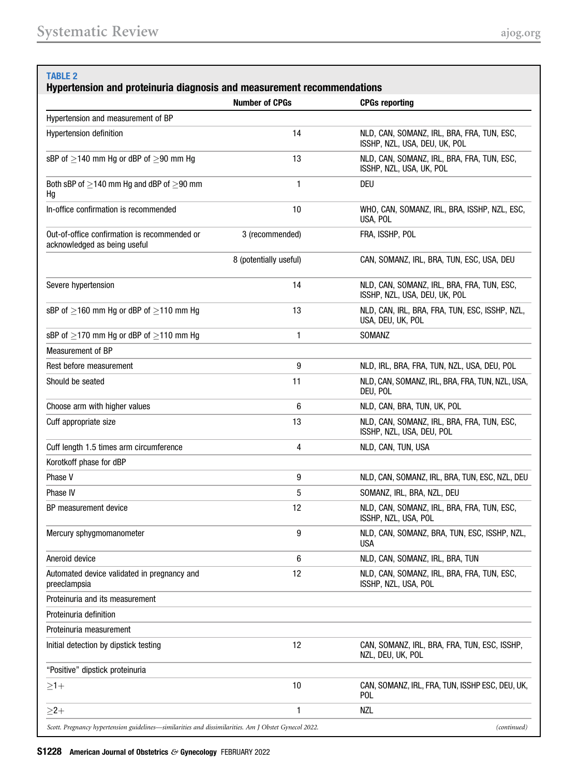# <span id="page-6-0"></span>TABLE<sub>2</sub> Hypertension and proteinuria diagnosis and measurement recommendations Number of CPGs **CPGs** CPGs reporting Hypertension and measurement of BP Hypertension definition 14 NLD, CAN, SOMANZ, IRL, BRA, FRA, TUN, ESC, ISSHP, NZL, USA, DEU, UK, POL sBP of  $>$ 140 mm Hg or dBP of  $>$ 90 mm Hg 13 NLD, CAN, SOMANZ, IRL, BRA, FRA, TUN, ESC, ISSHP, NZL, USA, UK, POL Both sBP of  $\geq$ 140 mm Hg and dBP of  $\geq$ 90 mm Hg 1 DEU In-office confirmation is recommended 10 WHO, CAN, SOMANZ, IRL, BRA, ISSHP, NZL, ESC, USA, POL Out-of-office confirmation is recommended or acknowledged as being useful 3 (recommended) FRA, ISSHP, POL 8 (potentially useful) CAN, SOMANZ, IRL, BRA, TUN, ESC, USA, DEU Severe hypertension 14 NLD, CAN, SOMANZ, IRL, BRA, FRA, TUN, ESC, ISSHP, NZL, USA, DEU, UK, POL sBP of  $>$ 160 mm Hg or dBP of  $>$ 110 mm Hg 13 13 NLD, CAN, IRL, BRA, FRA, TUN, ESC, ISSHP, NZL, USA, DEU, UK, POL  $sBP$  of  $>170$  mm Hg or dBP of  $>110$  mm Hg 1 30MANZ Measurement of BP Rest before measurement 9 NLD, IRL, BRA, FRA, TUN, NZL, USA, DEU, POL Should be seated **11** NLD, CAN, SOMANZ, IRL, BRA, FRA, TUN, NZL, USA, DEU, POL Choose arm with higher values **6** NLD, CAN, BRA, TUN, UK, POL Cuff appropriate size 13 NLD, CAN, SOMANZ, IRL, BRA, FRA, TUN, ESC, ISSHP, NZL, USA, DEU, POL Cuff length 1.5 times arm circumference 4 NLD, CAN, TUN, USA Korotkoff phase for dBP Phase V 9 NLD, CAN, SOMANZ, IRL, BRA, TUN, ESC, NZL, DEU Phase IV 6 SOMANZ, IRL, BRA, NZL, DEU BP measurement device and the state 12 ALD, CAN, SOMANZ, IRL, BRA, FRA, TUN, ESC, ISSHP, NZL, USA, POL Mercury sphygmomanometer 9 NLD, CAN, SOMANZ, BRA, TUN, ESC, ISSHP, NZL, USA Aneroid device and the state of the state of the state of the state of the SAN, SOMANZ, IRL, BRA, TUN Automated device validated in pregnancy and preeclampsia 12 NLD, CAN, SOMANZ, IRL, BRA, FRA, TUN, ESC, ISSHP, NZL, USA, POL Proteinuria and its measurement Proteinuria definition Proteinuria measurement Initial detection by dipstick testing 12 CAN, SOMANZ, IRL, BRA, FRA, TUN, ESC, ISSHP, NZL, DEU, UK, POL "Positive" dipstick proteinuria 1þ 10 CAN, SOMANZ, IRL, FRA, TUN, ISSHP ESC, DEU, UK, POL  $\geq$ 2+  $\geq$

Scott. Pregnancy hypertension guidelines—similarities and dissimilarities. Am J Obstet Gynecol 2022. (continued)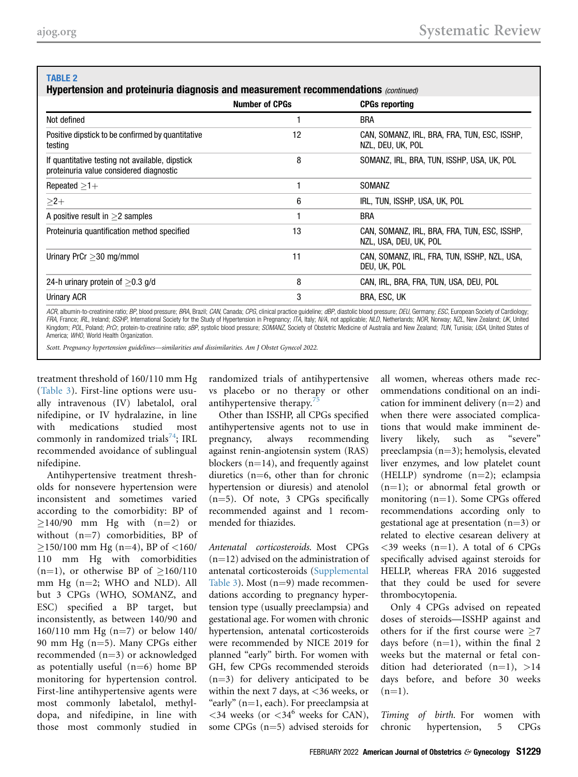## TABLE 2

|                                                                                            | <b>Number of CPGs</b> | <b>CPGs reporting</b>                                                  |
|--------------------------------------------------------------------------------------------|-----------------------|------------------------------------------------------------------------|
| Not defined                                                                                |                       | <b>BRA</b>                                                             |
| Positive dipstick to be confirmed by quantitative<br>testing                               | 12                    | CAN, SOMANZ, IRL, BRA, FRA, TUN, ESC, ISSHP,<br>NZL, DEU, UK, POL      |
| If quantitative testing not available, dipstick<br>proteinuria value considered diagnostic | 8                     | SOMANZ, IRL, BRA, TUN, ISSHP, USA, UK, POL                             |
| Repeated $>1+$                                                                             |                       | SOMANZ                                                                 |
| $>2+$                                                                                      | 6                     | IRL, TUN, ISSHP, USA, UK, POL                                          |
| A positive result in $>2$ samples                                                          |                       | <b>BRA</b>                                                             |
| Proteinuria quantification method specified                                                | 13                    | CAN, SOMANZ, IRL, BRA, FRA, TUN, ESC, ISSHP,<br>NZL, USA, DEU, UK, POL |
| Urinary PrCr $>$ 30 mg/mmol                                                                | 11                    | CAN, SOMANZ, IRL, FRA, TUN, ISSHP, NZL, USA,<br>DEU, UK, POL           |
| 24-h urinary protein of $>$ 0.3 g/d                                                        | 8                     | CAN, IRL, BRA, FRA, TUN, USA, DEU, POL                                 |
| Urinary ACR                                                                                | 3                     | BRA, ESC, UK                                                           |

ACR, albumin-to-creatinine ratio; BP, blood pressure; BRA, Brazil; CAN, Canada; CPG, clinical practice quideline; dBP, diastolic blood pressure; DEU, Germany; ESC, European Society of Cardiology; FRA, France; IRL, Ireland; ISSHP, International Society for the Study of Hypertension in Pregnancy; ITA, Italy; N/A, not applicable; NLD, Netherlands; NOR, Norway; NZL, New Zealand; UK, United<br>Kingdom; POL, Poland; PrCr, p America: WHO, World Health Organization.

Scott. Pregnancy hypertension guidelines—similarities and dissimilarities. Am J Obstet Gynecol 2022.

treatment threshold of 160/110 mm Hg ([Table 3\)](#page-9-0). First-line options were usually intravenous (IV) labetalol, oral nifedipine, or IV hydralazine, in line with medications studied most commonly in randomized trials<sup>74</sup>; IRL recommended avoidance of sublingual nifedipine.

Antihypertensive treatment thresholds for nonsevere hypertension were inconsistent and sometimes varied according to the comorbidity: BP of  $\geq$ 140/90 mm Hg with (n=2) or without  $(n=7)$  comorbidities, BP of  $\geq$ 150/100 mm Hg (n=4), BP of <160/ 110 mm Hg with comorbidities (n=1), or otherwise BP of  $\geq$ 160/110 mm Hg  $(n=2;$  WHO and NLD). All but 3 CPGs (WHO, SOMANZ, and ESC) specified a BP target, but inconsistently, as between 140/90 and 160/110 mm Hg  $(n=7)$  or below 140/ 90 mm Hg  $(n=5)$ . Many CPGs either recommended  $(n=3)$  or acknowledged as potentially useful  $(n=6)$  home BP monitoring for hypertension control. First-line antihypertensive agents were most commonly labetalol, methyldopa, and nifedipine, in line with those most commonly studied in

randomized trials of antihypertensive vs placebo or no therapy or other antihypertensive therapy.

Other than ISSHP, all CPGs specified antihypertensive agents not to use in pregnancy, always recommending against renin-angiotensin system (RAS) blockers  $(n=14)$ , and frequently against diuretics  $(n=6,$  other than for chronic hypertension or diuresis) and atenolol  $(n=5)$ . Of note, 3 CPGs specifically recommended against and 1 recommended for thiazides.

Antenatal corticosteroids. Most CPGs  $(n=12)$  advised on the administration of antenatal corticosteroids (Supplemental Table 3). Most  $(n=9)$  made recommendations according to pregnancy hypertension type (usually preeclampsia) and gestational age. For women with chronic hypertension, antenatal corticosteroids were recommended by NICE 2019 for planned "early" birth. For women with GH, few CPGs recommended steroids  $(n=3)$  for delivery anticipated to be within the next 7 days, at  $<36$  weeks, or "early"  $(n=1, each)$ . For preeclampsia at  $<34$  weeks (or  $<34^6$  weeks for CAN), some CPGs  $(n=5)$  advised steroids for

all women, whereas others made recommendations conditional on an indication for imminent delivery  $(n=2)$  and when there were associated complications that would make imminent delivery likely, such as "severe" preeclampsia  $(n=3)$ ; hemolysis, elevated liver enzymes, and low platelet count (HELLP) syndrome  $(n=2)$ ; eclampsia  $(n=1)$ ; or abnormal fetal growth or monitoring  $(n=1)$ . Some CPGs offered recommendations according only to gestational age at presentation  $(n=3)$  or related to elective cesarean delivery at  $<$ 39 weeks (n=1). A total of 6 CPGs specifically advised against steroids for HELLP, whereas FRA 2016 suggested that they could be used for severe thrombocytopenia.

Only 4 CPGs advised on repeated doses of steroids—ISSHP against and others for if the first course were  $>7$ days before  $(n=1)$ , within the final 2 weeks but the maternal or fetal condition had deteriorated  $(n=1)$ , >14 days before, and before 30 weeks  $(n=1)$ .

Timing of birth. For women with chronic hypertension, 5 CPGs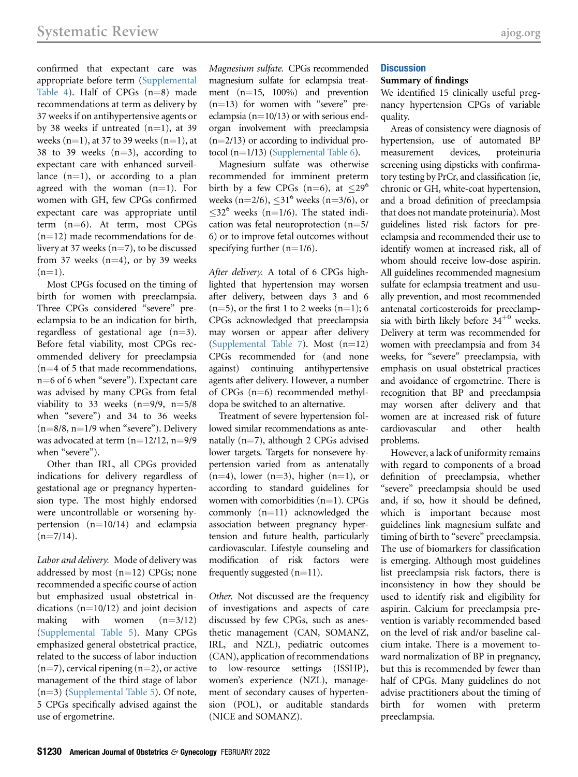confirmed that expectant care was appropriate before term (Supplemental Table 4). Half of CPGs  $(n=8)$  made recommendations at term as delivery by 37 weeks if on antihypertensive agents or by 38 weeks if untreated  $(n=1)$ , at 39 weeks  $(n=1)$ , at 37 to 39 weeks  $(n=1)$ , at 38 to 39 weeks  $(n=3)$ , according to expectant care with enhanced surveillance  $(n=1)$ , or according to a plan agreed with the woman  $(n=1)$ . For women with GH, few CPGs confirmed expectant care was appropriate until term  $(n=6)$ . At term, most CPGs  $(n=12)$  made recommendations for delivery at 37 weeks  $(n=7)$ , to be discussed from 37 weeks  $(n=4)$ , or by 39 weeks  $(n=1)$ .

Most CPGs focused on the timing of birth for women with preeclampsia. Three CPGs considered "severe" preeclampsia to be an indication for birth, regardless of gestational age  $(n=3)$ . Before fetal viability, most CPGs recommended delivery for preeclampsia  $(n=4$  of 5 that made recommendations, n=6 of 6 when "severe"). Expectant care was advised by many CPGs from fetal viability to 33 weeks  $(n=9/9, n=5/8)$ when "severe") and 34 to 36 weeks  $(n=8/8, n=1/9)$  when "severe"). Delivery was advocated at term  $(n=12/12, n=9/9)$ when "severe").

Other than IRL, all CPGs provided indications for delivery regardless of gestational age or pregnancy hypertension type. The most highly endorsed were uncontrollable or worsening hypertension  $(n=10/14)$  and eclampsia  $(n=7/14)$ .

Labor and delivery. Mode of delivery was addressed by most  $(n=12)$  CPGs; none recommended a specific course of action but emphasized usual obstetrical indications ( $n=10/12$ ) and joint decision<br>making with women ( $n=3/12$ ) making with women  $(n=3/12)$ (Supplemental Table 5). Many CPGs emphasized general obstetrical practice, related to the success of labor induction  $(n=7)$ , cervical ripening  $(n=2)$ , or active management of the third stage of labor  $(n=3)$  (Supplemental Table 5). Of note, 5 CPGs specifically advised against the use of ergometrine.

Magnesium sulfate. CPGs recommended magnesium sulfate for eclampsia treatment  $(n=15, 100%)$  and prevention  $(n=13)$  for women with "severe" preeclampsia ( $n=10/13$ ) or with serious endorgan involvement with preeclampsia  $(n=2/13)$  or according to individual protocol ( $n=1/13$ ) (Supplemental Table 6).

Magnesium sulfate was otherwise recommended for imminent preterm birth by a few CPGs (n=6), at  $\leq 29^6$ weeks (n=2/6),  $\leq 31^6$  weeks (n=3/6), or  $\leq$ 32<sup>6</sup> weeks (n=1/6). The stated indication was fetal neuroprotection  $(n=5/$ 6) or to improve fetal outcomes without specifying further  $(n=1/6)$ .

After delivery. A total of 6 CPGs highlighted that hypertension may worsen after delivery, between days 3 and 6  $(n=5)$ , or the first 1 to 2 weeks  $(n=1)$ ; 6 CPGs acknowledged that preeclampsia may worsen or appear after delivery (Supplemental Table 7). Most  $(n=12)$ CPGs recommended for (and none against) continuing antihypertensive agents after delivery. However, a number of CPGs  $(n=6)$  recommended methyldopa be switched to an alternative.

Treatment of severe hypertension followed similar recommendations as antenatally  $(n=7)$ , although 2 CPGs advised lower targets. Targets for nonsevere hypertension varied from as antenatally  $(n=4)$ , lower  $(n=3)$ , higher  $(n=1)$ , or according to standard guidelines for women with comorbidities  $(n=1)$ . CPGs commonly  $(n=11)$  acknowledged the association between pregnancy hypertension and future health, particularly cardiovascular. Lifestyle counseling and modification of risk factors were frequently suggested  $(n=11)$ .

Other. Not discussed are the frequency of investigations and aspects of care discussed by few CPGs, such as anesthetic management (CAN, SOMANZ, IRL, and NZL), pediatric outcomes (CAN), application of recommendations to low-resource settings (ISSHP), women's experience (NZL), management of secondary causes of hypertension (POL), or auditable standards (NICE and SOMANZ).

## **Discussion**

#### Summary of findings

We identified 15 clinically useful pregnancy hypertension CPGs of variable quality.

Areas of consistency were diagnosis of hypertension, use of automated BP measurement devices, proteinuria screening using dipsticks with confirmatory testing by PrCr, and classification (ie, chronic or GH, white-coat hypertension, and a broad definition of preeclampsia that does not mandate proteinuria). Most guidelines listed risk factors for preeclampsia and recommended their use to identify women at increased risk, all of whom should receive low-dose aspirin. All guidelines recommended magnesium sulfate for eclampsia treatment and usually prevention, and most recommended antenatal corticosteroids for preeclampsia with birth likely before  $34^{+0}$  weeks. Delivery at term was recommended for women with preeclampsia and from 34 weeks, for "severe" preeclampsia, with emphasis on usual obstetrical practices and avoidance of ergometrine. There is recognition that BP and preeclampsia may worsen after delivery and that women are at increased risk of future cardiovascular and other health problems.

However, a lack of uniformity remains with regard to components of a broad definition of preeclampsia, whether "severe" preeclampsia should be used and, if so, how it should be defined, which is important because most guidelines link magnesium sulfate and timing of birth to "severe" preeclampsia. The use of biomarkers for classification is emerging. Although most guidelines list preeclampsia risk factors, there is inconsistency in how they should be used to identify risk and eligibility for aspirin. Calcium for preeclampsia prevention is variably recommended based on the level of risk and/or baseline calcium intake. There is a movement toward normalization of BP in pregnancy, but this is recommended by fewer than half of CPGs. Many guidelines do not advise practitioners about the timing of birth for women with preterm preeclampsia.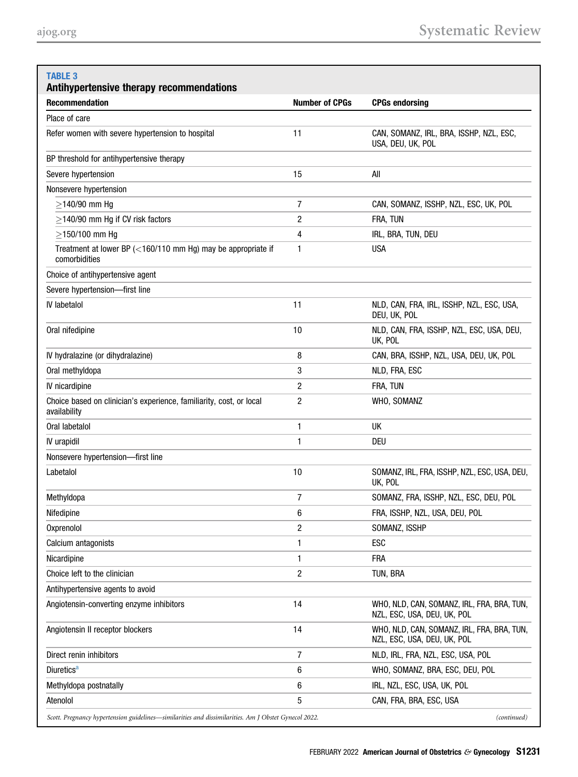# <span id="page-9-0"></span>TABLE 3

| Antihypertensive therapy recommendations                                                                            |                       |                                                                           |  |  |
|---------------------------------------------------------------------------------------------------------------------|-----------------------|---------------------------------------------------------------------------|--|--|
| <b>Recommendation</b>                                                                                               | <b>Number of CPGs</b> | <b>CPGs endorsing</b>                                                     |  |  |
| Place of care                                                                                                       |                       |                                                                           |  |  |
| Refer women with severe hypertension to hospital                                                                    | 11                    | CAN, SOMANZ, IRL, BRA, ISSHP, NZL, ESC,<br>USA, DEU, UK, POL              |  |  |
| BP threshold for antihypertensive therapy                                                                           |                       |                                                                           |  |  |
| Severe hypertension                                                                                                 | 15                    | All                                                                       |  |  |
| Nonsevere hypertension                                                                                              |                       |                                                                           |  |  |
| $>140/90$ mm Hq                                                                                                     | 7                     | CAN, SOMANZ, ISSHP, NZL, ESC, UK, POL                                     |  |  |
| $\geq$ 140/90 mm Hg if CV risk factors                                                                              | 2                     | FRA, TUN                                                                  |  |  |
| $\geq$ 150/100 mm Hg                                                                                                | 4                     | IRL, BRA, TUN, DEU                                                        |  |  |
| Treatment at lower BP (<160/110 mm Hg) may be appropriate if<br>comorbidities                                       | 1                     | <b>USA</b>                                                                |  |  |
| Choice of antihypertensive agent                                                                                    |                       |                                                                           |  |  |
| Severe hypertension-first line                                                                                      |                       |                                                                           |  |  |
| <b>IV labetalol</b>                                                                                                 | 11                    | NLD, CAN, FRA, IRL, ISSHP, NZL, ESC, USA,<br>DEU, UK, POL                 |  |  |
| Oral nifedipine                                                                                                     | 10                    | NLD, CAN, FRA, ISSHP, NZL, ESC, USA, DEU,<br>UK, POL                      |  |  |
| IV hydralazine (or dihydralazine)                                                                                   | 8                     | CAN, BRA, ISSHP, NZL, USA, DEU, UK, POL                                   |  |  |
| Oral methyldopa                                                                                                     | 3                     | NLD, FRA, ESC                                                             |  |  |
| IV nicardipine                                                                                                      | 2                     | FRA, TUN                                                                  |  |  |
| Choice based on clinician's experience, familiarity, cost, or local<br>availability                                 | 2                     | WHO, SOMANZ                                                               |  |  |
| Oral labetalol                                                                                                      | 1                     | UK                                                                        |  |  |
| IV urapidil                                                                                                         | 1                     | DEU                                                                       |  |  |
| Nonsevere hypertension-first line                                                                                   |                       |                                                                           |  |  |
| Labetalol                                                                                                           | 10                    | SOMANZ, IRL, FRA, ISSHP, NZL, ESC, USA, DEU,<br>UK, POL                   |  |  |
| Methyldopa                                                                                                          | 7                     | SOMANZ, FRA, ISSHP, NZL, ESC, DEU, POL                                    |  |  |
| Nifedipine                                                                                                          | 6                     | FRA, ISSHP, NZL, USA, DEU, POL                                            |  |  |
| Oxprenolol                                                                                                          | 2                     | SOMANZ, ISSHP                                                             |  |  |
| Calcium antagonists                                                                                                 | 1                     | ESC                                                                       |  |  |
| Nicardipine                                                                                                         | 1                     | <b>FRA</b>                                                                |  |  |
| Choice left to the clinician                                                                                        | 2                     | TUN, BRA                                                                  |  |  |
| Antihypertensive agents to avoid                                                                                    |                       |                                                                           |  |  |
| Angiotensin-converting enzyme inhibitors                                                                            | 14                    | WHO, NLD, CAN, SOMANZ, IRL, FRA, BRA, TUN,<br>NZL, ESC, USA, DEU, UK, POL |  |  |
| Angiotensin II receptor blockers                                                                                    | 14                    | WHO, NLD, CAN, SOMANZ, IRL, FRA, BRA, TUN,<br>NZL, ESC, USA, DEU, UK, POL |  |  |
| Direct renin inhibitors                                                                                             | 7                     | NLD, IRL, FRA, NZL, ESC, USA, POL                                         |  |  |
| <b>Diuretics</b> <sup>a</sup>                                                                                       | 6                     | WHO, SOMANZ, BRA, ESC, DEU, POL                                           |  |  |
| Methyldopa postnatally                                                                                              | 6                     | IRL, NZL, ESC, USA, UK, POL                                               |  |  |
| Atenolol                                                                                                            | 5                     | CAN, FRA, BRA, ESC, USA                                                   |  |  |
| Scott. Pregnancy hypertension guidelines—similarities and dissimilarities. Am J Obstet Gynecol 2022.<br>(continued) |                       |                                                                           |  |  |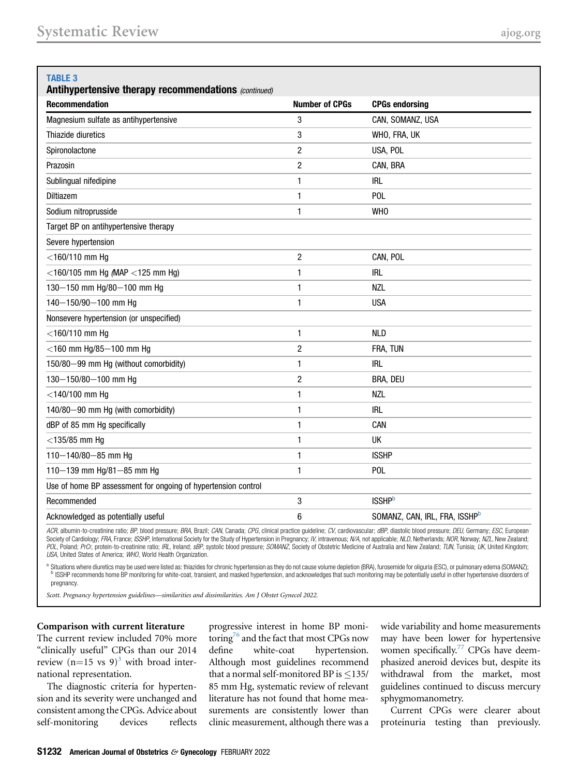| <b>TABLE 3</b><br>Antihypertensive therapy recommendations (continued) |                       |                                           |  |  |  |
|------------------------------------------------------------------------|-----------------------|-------------------------------------------|--|--|--|
| <b>Recommendation</b>                                                  | <b>Number of CPGs</b> | <b>CPGs endorsing</b>                     |  |  |  |
| Magnesium sulfate as antihypertensive                                  | 3                     | CAN, SOMANZ, USA                          |  |  |  |
| Thiazide diuretics                                                     | 3                     | WHO, FRA, UK                              |  |  |  |
| Spironolactone                                                         | $\overline{2}$        | USA, POL                                  |  |  |  |
| Prazosin                                                               | $\overline{c}$        | CAN, BRA                                  |  |  |  |
| Sublingual nifedipine                                                  | 1                     | <b>IRL</b>                                |  |  |  |
| Diltiazem                                                              | 1                     | <b>POL</b>                                |  |  |  |
| Sodium nitroprusside                                                   | $\mathbf{1}$          | WH <sub>0</sub>                           |  |  |  |
| Target BP on antihypertensive therapy                                  |                       |                                           |  |  |  |
| Severe hypertension                                                    |                       |                                           |  |  |  |
| $<$ 160/110 mm Hg                                                      | $\overline{c}$        | CAN, POL                                  |  |  |  |
| $<$ 160/105 mm Hg (MAP $<$ 125 mm Hg)                                  | 1                     | <b>IRL</b>                                |  |  |  |
| 130-150 mm Hg/80-100 mm Hg                                             | 1                     | <b>NZL</b>                                |  |  |  |
| 140-150/90-100 mm Hg                                                   | 1                     | <b>USA</b>                                |  |  |  |
| Nonsevere hypertension (or unspecified)                                |                       |                                           |  |  |  |
| $<$ 160/110 mm Hg                                                      | 1                     | <b>NLD</b>                                |  |  |  |
| $<$ 160 mm Hg/85 $-$ 100 mm Hg                                         | $\overline{c}$        | FRA, TUN                                  |  |  |  |
| 150/80-99 mm Hg (without comorbidity)                                  | 1                     | irl                                       |  |  |  |
| 130-150/80-100 mm Hg                                                   | $\overline{c}$        | BRA, DEU                                  |  |  |  |
| $<$ 140/100 mm Hg                                                      | 1                     | NZL                                       |  |  |  |
| 140/80-90 mm Hg (with comorbidity)                                     | 1                     | <b>IRL</b>                                |  |  |  |
| dBP of 85 mm Hg specifically                                           | 1                     | CAN                                       |  |  |  |
| $<$ 135/85 mm Hg                                                       | 1                     | UK                                        |  |  |  |
| 110-140/80-85 mm Hg                                                    | 1                     | <b>ISSHP</b>                              |  |  |  |
| 110-139 mm Hg/81-85 mm Hg                                              | 1                     | POL                                       |  |  |  |
| Use of home BP assessment for ongoing of hypertension control          |                       |                                           |  |  |  |
| Recommended                                                            | 3                     | <b>ISSHP</b> b                            |  |  |  |
| Acknowledged as potentially useful                                     | 6                     | SOMANZ, CAN, IRL, FRA, ISSHP <sup>b</sup> |  |  |  |
|                                                                        |                       |                                           |  |  |  |

ACR, albumin-to-creatinine ratio; BP, blood pressure; BRA, Brazil; CAN, Canada; CPG, clinical practice guideline; CV, cardiovascular; dBP, diastolic blood pressure; DEU, Germany; ESC, European Society of Cardiology; FRA, France; ISSHP, International Society for the Study of Hypertension in Pregnancy; IV, intravenous; N/A, not applicable; NLD, Netherlands; NOR, Norway; NZL, New Zealand; POL, Poland; PrCr, protein-to-creatinine ratio; IRL, Ireland; sBP, systolic blood pressure; SOMANZ, Society of Obstetric Medicine of Australia and New Zealand; TUN, Tunisia; UK, United Kingdom; USA, United States of America; WHO, World Health Organization.

<span id="page-10-0"></span>a Situations where diuretics may be used were listed as: thiazides for chronic hypertension as they do not cause volume depletion (BRA), furosemide for oliguria (ESC), or pulmonary edema (SOMANZ);<br>b ISSHP recommends home B pregnancy.

Scott. Pregnancy hypertension guidelines—similarities and dissimilarities. Am J Obstet Gynecol 2022.

#### Comparison with current literature

The current review included 70% more "clinically useful" CPGs than our 2014 review  $(n=15 \text{ vs } 9)^3$  with broad international representation.

The diagnostic criteria for hypertension and its severity were unchanged and consistent among the CPGs. Advice about self-monitoring devices reflects progressive interest in home BP monitoring<sup>76</sup> and the fact that most CPGs now define white-coat hypertension. Although most guidelines recommend that a normal self-monitored BP is  $\leq$ 135/ 85 mm Hg, systematic review of relevant literature has not found that home measurements are consistently lower than clinic measurement, although there was a

wide variability and home measurements may have been lower for hypertensive women specifically. $77$  CPGs have deemphasized aneroid devices but, despite its withdrawal from the market, most guidelines continued to discuss mercury sphygmomanometry.

Current CPGs were clearer about proteinuria testing than previously.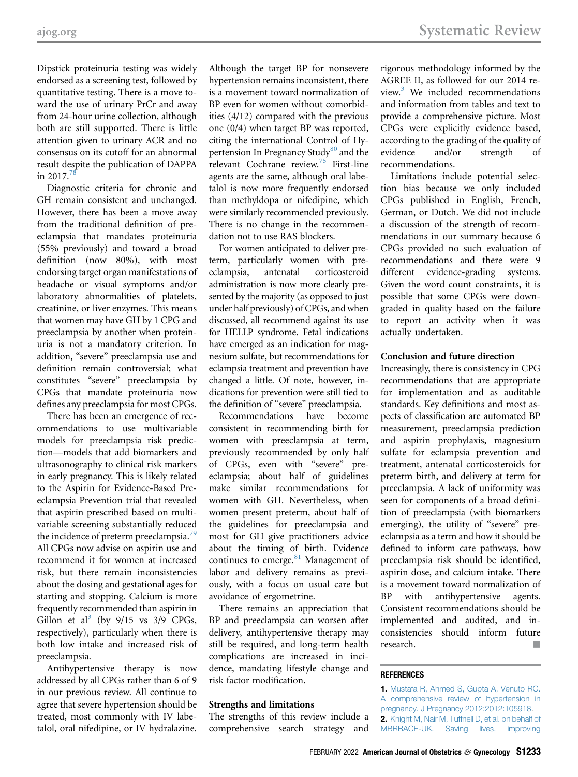Dipstick proteinuria testing was widely endorsed as a screening test, followed by quantitative testing. There is a move toward the use of urinary PrCr and away from 24-hour urine collection, although both are still supported. There is little attention given to urinary ACR and no consensus on its cutoff for an abnormal result despite the publication of DAPPA in 2017. $^{78}$  $^{78}$  $^{78}$ 

Diagnostic criteria for chronic and GH remain consistent and unchanged. However, there has been a move away from the traditional definition of preeclampsia that mandates proteinuria (55% previously) and toward a broad definition (now 80%), with most endorsing target organ manifestations of headache or visual symptoms and/or laboratory abnormalities of platelets, creatinine, or liver enzymes. This means that women may have GH by 1 CPG and preeclampsia by another when proteinuria is not a mandatory criterion. In addition, "severe" preeclampsia use and definition remain controversial; what constitutes "severe" preeclampsia by CPGs that mandate proteinuria now defines any preeclampsia for most CPGs.

There has been an emergence of recommendations to use multivariable models for preeclampsia risk prediction—models that add biomarkers and ultrasonography to clinical risk markers in early pregnancy. This is likely related to the Aspirin for Evidence-Based Preeclampsia Prevention trial that revealed that aspirin prescribed based on multivariable screening substantially reduced the incidence of preterm preeclampsia.<sup>[79](#page-14-8)</sup> All CPGs now advise on aspirin use and recommend it for women at increased risk, but there remain inconsistencies about the dosing and gestational ages for starting and stopping. Calcium is more frequently recommended than aspirin in Gillon et al<sup>[3](#page-12-0)</sup> (by  $9/15$  vs  $3/9$  CPGs, respectively), particularly when there is both low intake and increased risk of preeclampsia.

Antihypertensive therapy is now addressed by all CPGs rather than 6 of 9 in our previous review. All continue to agree that severe hypertension should be treated, most commonly with IV labetalol, oral nifedipine, or IV hydralazine.

Although the target BP for nonsevere hypertension remains inconsistent, there is a movement toward normalization of BP even for women without comorbidities (4/12) compared with the previous one (0/4) when target BP was reported, citing the international Control of Hy-pertension In Pregnancy Study<sup>[80](#page-14-9)</sup> and the relevant Cochrane review.[75](#page-14-4) First-line agents are the same, although oral labetalol is now more frequently endorsed than methyldopa or nifedipine, which were similarly recommended previously. There is no change in the recommendation not to use RAS blockers.

For women anticipated to deliver preterm, particularly women with preeclampsia, antenatal corticosteroid administration is now more clearly presented by the majority (as opposed to just under half previously) of CPGs, and when discussed, all recommend against its use for HELLP syndrome. Fetal indications have emerged as an indication for magnesium sulfate, but recommendations for eclampsia treatment and prevention have changed a little. Of note, however, indications for prevention were still tied to the definition of "severe" preeclampsia.

Recommendations have become consistent in recommending birth for women with preeclampsia at term, previously recommended by only half of CPGs, even with "severe" preeclampsia; about half of guidelines make similar recommendations for women with GH. Nevertheless, when women present preterm, about half of the guidelines for preeclampsia and most for GH give practitioners advice about the timing of birth. Evidence continues to emerge.<sup>81</sup> Management of labor and delivery remains as previously, with a focus on usual care but avoidance of ergometrine.

There remains an appreciation that BP and preeclampsia can worsen after delivery, antihypertensive therapy may still be required, and long-term health complications are increased in incidence, mandating lifestyle change and risk factor modification.

#### Strengths and limitations

The strengths of this review include a comprehensive search strategy and

rigorous methodology informed by the AGREE II, as followed for our 2014 review. $3$  We included recommendations and information from tables and text to provide a comprehensive picture. Most CPGs were explicitly evidence based, according to the grading of the quality of evidence and/or strength of recommendations.

Limitations include potential selection bias because we only included CPGs published in English, French, German, or Dutch. We did not include a discussion of the strength of recommendations in our summary because 6 CPGs provided no such evaluation of recommendations and there were 9 different evidence-grading systems. Given the word count constraints, it is possible that some CPGs were downgraded in quality based on the failure to report an activity when it was actually undertaken.

#### Conclusion and future direction

Increasingly, there is consistency in CPG recommendations that are appropriate for implementation and as auditable standards. Key definitions and most aspects of classification are automated BP measurement, preeclampsia prediction and aspirin prophylaxis, magnesium sulfate for eclampsia prevention and treatment, antenatal corticosteroids for preterm birth, and delivery at term for preeclampsia. A lack of uniformity was seen for components of a broad definition of preeclampsia (with biomarkers emerging), the utility of "severe" preeclampsia as a term and how it should be defined to inform care pathways, how preeclampsia risk should be identified, aspirin dose, and calcium intake. There is a movement toward normalization of BP with antihypertensive agents. Consistent recommendations should be implemented and audited, and inconsistencies should inform future research.

#### <span id="page-11-0"></span>**REFERENCES**

<span id="page-11-1"></span>1. [Mustafa R, Ahmed S, Gupta A, Venuto RC.](http://refhub.elsevier.com/S0002-9378(20)30846-2/sref1) [A comprehensive review of hypertension in](http://refhub.elsevier.com/S0002-9378(20)30846-2/sref1) [pregnancy. J Pregnancy 2012;2012:105918.](http://refhub.elsevier.com/S0002-9378(20)30846-2/sref1) 2. [Knight M, Nair M, Tuffnell D, et al. on behalf of](http://refhub.elsevier.com/S0002-9378(20)30846-2/sref2) [MBRRACE-UK. Saving lives, improving](http://refhub.elsevier.com/S0002-9378(20)30846-2/sref2)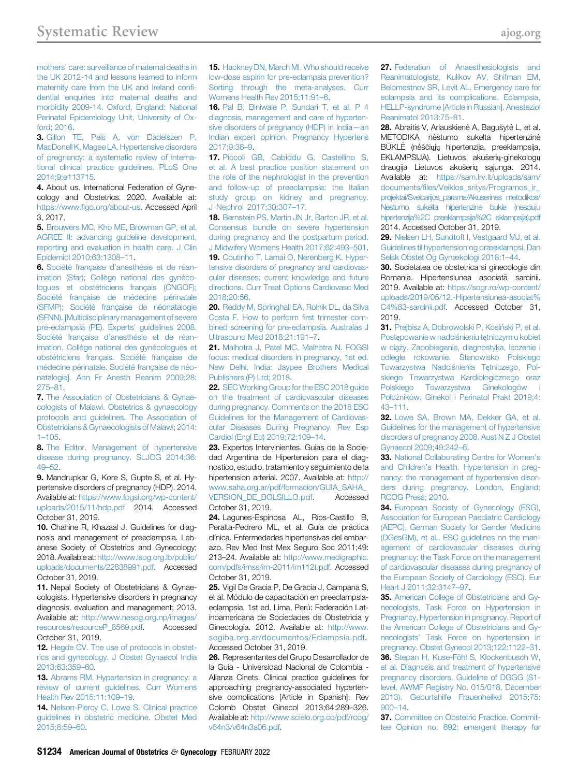mothers' [care: surveillance of maternal deaths in](http://refhub.elsevier.com/S0002-9378(20)30846-2/sref2) [the UK 2012-14 and lessons learned to inform](http://refhub.elsevier.com/S0002-9378(20)30846-2/sref2) [maternity care from the UK and Ireland con](http://refhub.elsevier.com/S0002-9378(20)30846-2/sref2)fi[dential enquiries into maternal deaths and](http://refhub.elsevier.com/S0002-9378(20)30846-2/sref2) [morbidity 2009-14. Oxford, England: National](http://refhub.elsevier.com/S0002-9378(20)30846-2/sref2) [Perinatal Epidemiology Unit, University of Ox](http://refhub.elsevier.com/S0002-9378(20)30846-2/sref2)[ford; 2016](http://refhub.elsevier.com/S0002-9378(20)30846-2/sref2).

<span id="page-12-0"></span>3. [Gillon TE, Pels A, von Dadelszen P,](http://refhub.elsevier.com/S0002-9378(20)30846-2/sref3) [MacDonell K, Magee LA. Hypertensive disorders](http://refhub.elsevier.com/S0002-9378(20)30846-2/sref3) [of pregnancy: a systematic review of interna](http://refhub.elsevier.com/S0002-9378(20)30846-2/sref3)[tional clinical practice guidelines. PLoS One](http://refhub.elsevier.com/S0002-9378(20)30846-2/sref3) [2014;9:e113715](http://refhub.elsevier.com/S0002-9378(20)30846-2/sref3).

<span id="page-12-1"></span>4. About us. International Federation of Gynecology and Obstetrics. 2020. Available at: https://www.fi[go.org/about-us.](https://www.figo.org/about-us) Accessed April 3, 2017.

<span id="page-12-2"></span>5. [Brouwers MC, Kho ME, Browman GP, et al.](http://refhub.elsevier.com/S0002-9378(20)30846-2/sref5) [AGREE II: advancing guideline development,](http://refhub.elsevier.com/S0002-9378(20)30846-2/sref5) [reporting and evaluation in health care. J Clin](http://refhub.elsevier.com/S0002-9378(20)30846-2/sref5) [Epidemiol 2010;63:1308](http://refhub.elsevier.com/S0002-9378(20)30846-2/sref5)–11.

<span id="page-12-3"></span>6. Société française d'[anesthésie et de réan](http://refhub.elsevier.com/S0002-9378(20)30846-2/sref6)[imation \(Sfar\); Collège national des gynéco](http://refhub.elsevier.com/S0002-9378(20)30846-2/sref6)[logues et obstétriciens français \(CNGOF\);](http://refhub.elsevier.com/S0002-9378(20)30846-2/sref6) [Société française de médecine périnatale](http://refhub.elsevier.com/S0002-9378(20)30846-2/sref6) [\(SFMP\); Société française de néonatalogie](http://refhub.elsevier.com/S0002-9378(20)30846-2/sref6) [\(SFNN\). \[Multidisciplinary management of severe](http://refhub.elsevier.com/S0002-9378(20)30846-2/sref6) [pre-eclampsia \(PE\). Experts](http://refhub.elsevier.com/S0002-9378(20)30846-2/sref6)' guidelines 2008. Société française d'[anesthésie et de réan](http://refhub.elsevier.com/S0002-9378(20)30846-2/sref6)[imation. Collège national des gynécologues et](http://refhub.elsevier.com/S0002-9378(20)30846-2/sref6) [obstétriciens français. Société française de](http://refhub.elsevier.com/S0002-9378(20)30846-2/sref6) [médecine périnatale. Société française de néo](http://refhub.elsevier.com/S0002-9378(20)30846-2/sref6)[natalogie\]. Ann Fr Anesth Reanim 2009;28:](http://refhub.elsevier.com/S0002-9378(20)30846-2/sref6) [275](http://refhub.elsevier.com/S0002-9378(20)30846-2/sref6)–81.

7. [The Association of Obstetricians & Gynae](http://refhub.elsevier.com/S0002-9378(20)30846-2/sref7)[cologists of Malawi. Obstetrics & gynaecology](http://refhub.elsevier.com/S0002-9378(20)30846-2/sref7) [protocols and guidelines. The Association of](http://refhub.elsevier.com/S0002-9378(20)30846-2/sref7) [Obstetricians & Gynaecologists of Malawi; 2014:](http://refhub.elsevier.com/S0002-9378(20)30846-2/sref7) 1–[105](http://refhub.elsevier.com/S0002-9378(20)30846-2/sref7).

8. [The Editor. Management of hypertensive](http://refhub.elsevier.com/S0002-9378(20)30846-2/sref8) [disease during pregnancy. SLJOG 2014;36:](http://refhub.elsevier.com/S0002-9378(20)30846-2/sref8) [49](http://refhub.elsevier.com/S0002-9378(20)30846-2/sref8)–52.

<span id="page-12-4"></span>9. Mandrupkar G, Kore S, Gupte S, et al. Hypertensive disorders of pregnancy (HDP). 2014. Available at: [https://www.fogsi.org/wp-content/](https://www.fogsi.org/wp-content/uploads/2015/11/hdp.pdf) [uploads/2015/11/hdp.pdf](https://www.fogsi.org/wp-content/uploads/2015/11/hdp.pdf) 2014. Accessed October 31, 2019.

<span id="page-12-5"></span>10. Chahine R, Khazaal J. Guidelines for diagnosis and management of preeclampsia. Lebanese Society of Obstetrics and Gynecology; 2018. Available at: [http://www.lsog.org.lb/public/](http://www.lsog.org.lb/public/uploads/documents/22838991.pdf) [uploads/documents/22838991.pdf](http://www.lsog.org.lb/public/uploads/documents/22838991.pdf). Accessed October 31, 2019.

<span id="page-12-6"></span>11. Nepal Society of Obstetricians & Gynaecologists. Hypertensive disorders in pregnancy diagnosis. evaluation and management; 2013. Available at: [http://www.nesog.org.np/images/](http://www.nesog.org.np/images/resources/resourceP_8569.pdf) [resources/resourceP\\_8569.pdf](http://www.nesog.org.np/images/resources/resourceP_8569.pdf). Accessed October 31, 2019.

12. [Hegde CV. The use of protocols in obstet](http://refhub.elsevier.com/S0002-9378(20)30846-2/sref12)[rics and gynecology. J Obstet Gynaecol India](http://refhub.elsevier.com/S0002-9378(20)30846-2/sref12) [2013;63:359](http://refhub.elsevier.com/S0002-9378(20)30846-2/sref12)–60.

13. [Abrams RM. Hypertension in pregnancy: a](http://refhub.elsevier.com/S0002-9378(20)30846-2/sref13) [review of current guidelines. Curr Womens](http://refhub.elsevier.com/S0002-9378(20)30846-2/sref13) [Health Rev 2015;11:109](http://refhub.elsevier.com/S0002-9378(20)30846-2/sref13)–19.

14. [Nelson-Piercy C, Lowe S. Clinical practice](http://refhub.elsevier.com/S0002-9378(20)30846-2/sref14) [guidelines in obstetric medicine. Obstet Med](http://refhub.elsevier.com/S0002-9378(20)30846-2/sref14) [2015;8:59](http://refhub.elsevier.com/S0002-9378(20)30846-2/sref14)–60.

15. [Hackney DN, March MI. Who should receive](http://refhub.elsevier.com/S0002-9378(20)30846-2/sref15) [low-dose aspirin for pre-eclampsia prevention?](http://refhub.elsevier.com/S0002-9378(20)30846-2/sref15) [Sorting through the meta-analyses. Curr](http://refhub.elsevier.com/S0002-9378(20)30846-2/sref15) [Womens Health Rev 2015;11:91](http://refhub.elsevier.com/S0002-9378(20)30846-2/sref15)–6.

16. [Pal B, Biniwale P, Sundari T, et al. P 4](http://refhub.elsevier.com/S0002-9378(20)30846-2/sref16) [diagnosis, management and care of hyperten](http://refhub.elsevier.com/S0002-9378(20)30846-2/sref16)[sive disorders of pregnancy \(HDP\) in India](http://refhub.elsevier.com/S0002-9378(20)30846-2/sref16)—an [Indian expert opinion. Pregnancy Hypertens](http://refhub.elsevier.com/S0002-9378(20)30846-2/sref16) [2017;9:38](http://refhub.elsevier.com/S0002-9378(20)30846-2/sref16)–9.

17. [Piccoli GB, Cabiddu G, Castellino S,](http://refhub.elsevier.com/S0002-9378(20)30846-2/sref17) [et al. A best practice position statement on](http://refhub.elsevier.com/S0002-9378(20)30846-2/sref17) [the role of the nephrologist in the prevention](http://refhub.elsevier.com/S0002-9378(20)30846-2/sref17) [and follow-up of preeclampsia: the Italian](http://refhub.elsevier.com/S0002-9378(20)30846-2/sref17) [study group on kidney and pregnancy.](http://refhub.elsevier.com/S0002-9378(20)30846-2/sref17) [J Nephrol 2017;30:307](http://refhub.elsevier.com/S0002-9378(20)30846-2/sref17)–17.

18. [Bernstein PS, Martin JN Jr, Barton JR, et al.](http://refhub.elsevier.com/S0002-9378(20)30846-2/sref18) [Consensus bundle on severe hypertension](http://refhub.elsevier.com/S0002-9378(20)30846-2/sref18) [during pregnancy and the postpartum period.](http://refhub.elsevier.com/S0002-9378(20)30846-2/sref18) [J Midwifery Womens Health 2017;62:493](http://refhub.elsevier.com/S0002-9378(20)30846-2/sref18)–501.

19. [Coutinho T, Lamai O, Nerenberg K. Hyper](http://refhub.elsevier.com/S0002-9378(20)30846-2/sref19)[tensive disorders of pregnancy and cardiovas](http://refhub.elsevier.com/S0002-9378(20)30846-2/sref19)[cular diseases: current knowledge and future](http://refhub.elsevier.com/S0002-9378(20)30846-2/sref19) [directions. Curr Treat Options Cardiovasc Med](http://refhub.elsevier.com/S0002-9378(20)30846-2/sref19) [2018;20:56.](http://refhub.elsevier.com/S0002-9378(20)30846-2/sref19)

20. [Reddy M, Springhall EA, Rolnik DL, da Silva](http://refhub.elsevier.com/S0002-9378(20)30846-2/sref20) [Costa F. How to perform](http://refhub.elsevier.com/S0002-9378(20)30846-2/sref20) first trimester com[bined screening for pre-eclampsia. Australas J](http://refhub.elsevier.com/S0002-9378(20)30846-2/sref20) [Ultrasound Med 2018;21:191](http://refhub.elsevier.com/S0002-9378(20)30846-2/sref20)–7.

21. [Malhotra J, Patel MC, Malhotra N. FOGSI](http://refhub.elsevier.com/S0002-9378(20)30846-2/sref21) [focus: medical disorders in pregnancy, 1st ed.](http://refhub.elsevier.com/S0002-9378(20)30846-2/sref21) [New Delhi, India: Jaypee Brothers Medical](http://refhub.elsevier.com/S0002-9378(20)30846-2/sref21) [Publishers \(P\) Ltd; 2018](http://refhub.elsevier.com/S0002-9378(20)30846-2/sref21).

22. [SEC Working Group for the ESC 2018 guide](http://refhub.elsevier.com/S0002-9378(20)30846-2/sref22) [on the treatment of cardiovascular diseases](http://refhub.elsevier.com/S0002-9378(20)30846-2/sref22) [during pregnancy. Comments on the 2018 ESC](http://refhub.elsevier.com/S0002-9378(20)30846-2/sref22) [Guidelines for the Management of Cardiovas](http://refhub.elsevier.com/S0002-9378(20)30846-2/sref22)[cular Diseases During Pregnancy. Rev Esp](http://refhub.elsevier.com/S0002-9378(20)30846-2/sref22) [Cardiol \(Engl Ed\) 2019;72:109](http://refhub.elsevier.com/S0002-9378(20)30846-2/sref22)–14.

<span id="page-12-7"></span>23. Expertos Intervinientes. Guias de la Sociedad Argentina de Hipertension para el diagnostico, estudio, tratamiento y seguimiento de la hipertension arterial. 2007. Available at: [http://](http://www.saha.org.ar/pdf/formacion/GUIA_SAHA_VERSION_DE_BOLSILLO.pdf) [www.saha.org.ar/pdf/formacion/GUIA\\_SAHA\\_](http://www.saha.org.ar/pdf/formacion/GUIA_SAHA_VERSION_DE_BOLSILLO.pdf) [VERSION\\_DE\\_BOLSILLO.pdf](http://www.saha.org.ar/pdf/formacion/GUIA_SAHA_VERSION_DE_BOLSILLO.pdf). Accessed October 31, 2019.

24. Lagunes-Espinosa AL, Ríos-Castillo B, Peralta-Pedrero ML, et al. Guía de práctica clínica. Enfermedades hipertensivas del embarazo. Rev Med Inst Mex Seguro Soc 2011;49: 213–24. Available at: [http://www.medigraphic.](http://www.medigraphic.com/pdfs/imss/im-2011/im112t.pdf) [com/pdfs/imss/im-2011/im112t.pdf.](http://www.medigraphic.com/pdfs/imss/im-2011/im112t.pdf) Accessed October 31, 2019.

25. Vigil De Gracia P, De Gracia J, Campana S, et al. Módulo de capacitación en preeclampsiaeclampsia, 1st ed. Lima, Perú: Federación Latinoamericana de Sociedades de Obstetricia y Ginecología. 2012. Available at: [http://www.](http://www.sogiba.org.ar/documentos/Eclampsia.pdf) [sogiba.org.ar/documentos/Eclampsia.pdf.](http://www.sogiba.org.ar/documentos/Eclampsia.pdf) Accessed October 31, 2019.

26. Representantes del Grupo Desarrollador de la Guía - Universidad Nacional de Colombia - Alianza Cinets. Clinical practice guidelines for approaching pregnancy-associated hypertensive complications [Article in Spanish]. Rev Colomb Obstet Ginecol 2013;64:289–326. Available at: [http://www.scielo.org.co/pdf/rcog/](http://www.scielo.org.co/pdf/rcog/v64n3/v64n3a06.pdf) [v64n3/v64n3a06.pdf.](http://www.scielo.org.co/pdf/rcog/v64n3/v64n3a06.pdf)

<span id="page-12-8"></span>27. [Federation of Anaesthesiologists and](http://refhub.elsevier.com/S0002-9378(20)30846-2/sref27) [Reanimatologists, Kulikov AV, Shifman EM,](http://refhub.elsevier.com/S0002-9378(20)30846-2/sref27) [Belomestnov SR, Levit AL. Emergency care for](http://refhub.elsevier.com/S0002-9378(20)30846-2/sref27) [eclampsia and its complications. Eclampsia,](http://refhub.elsevier.com/S0002-9378(20)30846-2/sref27) [HELLP-syndrome \[Article in Russian\]. Anesteziol](http://refhub.elsevier.com/S0002-9378(20)30846-2/sref27) [Reanimatol 2013:75](http://refhub.elsevier.com/S0002-9378(20)30846-2/sref27)–81.

<span id="page-12-9"></span>28. Abraitis V, Arlauskienė A, Bagušytė L, et al. METODIKA nėštumo sukelta hipertenzinė BŪKLĖ (nėščiųjų hipertenzija, preeklampsija, EKLAMPSIJA). Lietuvos akušerių-ginekologų draugija Lietuvos akušerių sąjunga. 2014. Available at: [https://sam.lrv.lt/uploads/sam/](https://sam.lrv.lt/uploads/sam/documents/files/Veiklos_sritys/Programos_ir_projektai/Sveicarijos_parama/Akuserines%20metodikos/Nestumo%20sukelta%20hipertenzine%20bukle%20(nesciuju%20hipertenzija%2C%20preeklampsija%2C%20eklampsija).pdf) documents/fi[les/Veiklos\\_sritys/Programos\\_ir\\_](https://sam.lrv.lt/uploads/sam/documents/files/Veiklos_sritys/Programos_ir_projektai/Sveicarijos_parama/Akuserines%20metodikos/Nestumo%20sukelta%20hipertenzine%20bukle%20(nesciuju%20hipertenzija%2C%20preeklampsija%2C%20eklampsija).pdf) [projektai/Sveicarijos\\_parama/Akuserines metodikos/](https://sam.lrv.lt/uploads/sam/documents/files/Veiklos_sritys/Programos_ir_projektai/Sveicarijos_parama/Akuserines%20metodikos/Nestumo%20sukelta%20hipertenzine%20bukle%20(nesciuju%20hipertenzija%2C%20preeklampsija%2C%20eklampsija).pdf) [Nestumo sukelta hipertenzine bukle \(nesciuju](https://sam.lrv.lt/uploads/sam/documents/files/Veiklos_sritys/Programos_ir_projektai/Sveicarijos_parama/Akuserines%20metodikos/Nestumo%20sukelta%20hipertenzine%20bukle%20(nesciuju%20hipertenzija%2C%20preeklampsija%2C%20eklampsija).pdf) [hipertenzija%2C preeklampsija%2C eklampsija\).pdf](https://sam.lrv.lt/uploads/sam/documents/files/Veiklos_sritys/Programos_ir_projektai/Sveicarijos_parama/Akuserines%20metodikos/Nestumo%20sukelta%20hipertenzine%20bukle%20(nesciuju%20hipertenzija%2C%20preeklampsija%2C%20eklampsija).pdf) 2014. Accessed October 31, 2019.

<span id="page-12-10"></span>29. [Nielsen LH, Sundtoft I, Vestgaard MJ, et al.](http://refhub.elsevier.com/S0002-9378(20)30846-2/sref29) [Guidelines til hypertension og præeklampsi. Dan](http://refhub.elsevier.com/S0002-9378(20)30846-2/sref29) [Selsk Obstet Og Gynækologi 2018:1](http://refhub.elsevier.com/S0002-9378(20)30846-2/sref29)–44.

<span id="page-12-11"></span>30. Societatea de obstetrica si ginecologie din Romania. Hipertensiunea asociată sarcinii. 2019. Available at: [https://sogr.ro/wp-content/](https://sogr.ro/wp-content/uploads/2019/05/12.-Hipertensiunea-asociat%C4%83-sarcinii.pdf) [uploads/2019/05/12.-Hipertensiunea-asociat%](https://sogr.ro/wp-content/uploads/2019/05/12.-Hipertensiunea-asociat%C4%83-sarcinii.pdf) [C4%83-sarcinii.pdf](https://sogr.ro/wp-content/uploads/2019/05/12.-Hipertensiunea-asociat%C4%83-sarcinii.pdf). Accessed October 31,  $2019$ 

<span id="page-12-12"></span>31. Prejbisz A, Dobrowolski P, Kosiński P, et al. Postę[powanie w nadci](http://refhub.elsevier.com/S0002-9378(20)30846-2/sref31)snieniu tę[tniczym u kobiet](http://refhub.elsevier.com/S0002-9378(20)30846-2/sref31) w ciąż[y. Zapobieganie, diagnostyka, leczenie i](http://refhub.elsevier.com/S0002-9378(20)30846-2/sref31) odległ[e rokowanie. Stanowisko Polskiego](http://refhub.elsevier.com/S0002-9378(20)30846-2/sref31) [Towarzystwa Nadci](http://refhub.elsevier.com/S0002-9378(20)30846-2/sref31)śnienia Tę[tniczego, Pol](http://refhub.elsevier.com/S0002-9378(20)30846-2/sref31)[skiego Towarzystwa Kardiologicznego oraz](http://refhub.elsevier.com/S0002-9378(20)30846-2/sref31) [Polskiego Towarzystwa Ginekologów i](http://refhub.elsevier.com/S0002-9378(20)30846-2/sref31) [Po](http://refhub.elsevier.com/S0002-9378(20)30846-2/sref31)łożników. Ginekol i Perinatol Prakt 2019;4: 43–[111](http://refhub.elsevier.com/S0002-9378(20)30846-2/sref31).

<span id="page-12-13"></span>32. [Lowe SA, Brown MA, Dekker GA, et al.](http://refhub.elsevier.com/S0002-9378(20)30846-2/sref32) [Guidelines for the management of hypertensive](http://refhub.elsevier.com/S0002-9378(20)30846-2/sref32) [disorders of pregnancy 2008. Aust N Z J Obstet](http://refhub.elsevier.com/S0002-9378(20)30846-2/sref32) [Gynaecol 2009;49:242](http://refhub.elsevier.com/S0002-9378(20)30846-2/sref32)–6.

33. [National Collaborating Centre for Women](http://refhub.elsevier.com/S0002-9378(20)30846-2/sref33)'s and Children'[s Health. Hypertension in preg](http://refhub.elsevier.com/S0002-9378(20)30846-2/sref33)[nancy: the management of hypertensive disor](http://refhub.elsevier.com/S0002-9378(20)30846-2/sref33)[ders during pregnancy. London, England:](http://refhub.elsevier.com/S0002-9378(20)30846-2/sref33) [RCOG Press; 2010](http://refhub.elsevier.com/S0002-9378(20)30846-2/sref33).

34. [European Society of Gynecology \(ESG\),](http://refhub.elsevier.com/S0002-9378(20)30846-2/sref34) [Association for European Paediatric Cardiology](http://refhub.elsevier.com/S0002-9378(20)30846-2/sref34) [\(AEPC\), German Society for Gender Medicine](http://refhub.elsevier.com/S0002-9378(20)30846-2/sref34) [\(DGesGM\), et al.. ESC guidelines on the man](http://refhub.elsevier.com/S0002-9378(20)30846-2/sref34)[agement of cardiovascular diseases during](http://refhub.elsevier.com/S0002-9378(20)30846-2/sref34) [pregnancy: the Task Force on the management](http://refhub.elsevier.com/S0002-9378(20)30846-2/sref34) [of cardiovascular diseases during pregnancy of](http://refhub.elsevier.com/S0002-9378(20)30846-2/sref34) [the European Society of Cardiology \(ESC\). Eur](http://refhub.elsevier.com/S0002-9378(20)30846-2/sref34) [Heart J 2011;32:3147](http://refhub.elsevier.com/S0002-9378(20)30846-2/sref34)–97.

35. [American College of Obstetricians and Gy](http://refhub.elsevier.com/S0002-9378(20)30846-2/sref35)[necologists, Task Force on Hypertension in](http://refhub.elsevier.com/S0002-9378(20)30846-2/sref35) [Pregnancy. Hypertension in pregnancy. Report of](http://refhub.elsevier.com/S0002-9378(20)30846-2/sref35) [the American College of Obstetricians and Gy](http://refhub.elsevier.com/S0002-9378(20)30846-2/sref35)necologists' [Task Force on hypertension in](http://refhub.elsevier.com/S0002-9378(20)30846-2/sref35) [pregnancy. Obstet Gynecol 2013;122:1122](http://refhub.elsevier.com/S0002-9378(20)30846-2/sref35)–31. 36. [Stepan H, Kuse-Föhl S, Klockenbusch W,](http://refhub.elsevier.com/S0002-9378(20)30846-2/sref36) [et al. Diagnosis and treatment of hypertensive](http://refhub.elsevier.com/S0002-9378(20)30846-2/sref36) [pregnancy disorders. Guideline of DGGG \(S1](http://refhub.elsevier.com/S0002-9378(20)30846-2/sref36) [level, AWMF Registry No. 015/018, December](http://refhub.elsevier.com/S0002-9378(20)30846-2/sref36) [2013\). Geburtshilfe Frauenheilkd 2015;75:](http://refhub.elsevier.com/S0002-9378(20)30846-2/sref36) [900](http://refhub.elsevier.com/S0002-9378(20)30846-2/sref36)–14.

37. [Committee on Obstetric Practice. Commit](http://refhub.elsevier.com/S0002-9378(20)30846-2/sref37)[tee Opinion no. 692: emergent therapy for](http://refhub.elsevier.com/S0002-9378(20)30846-2/sref37)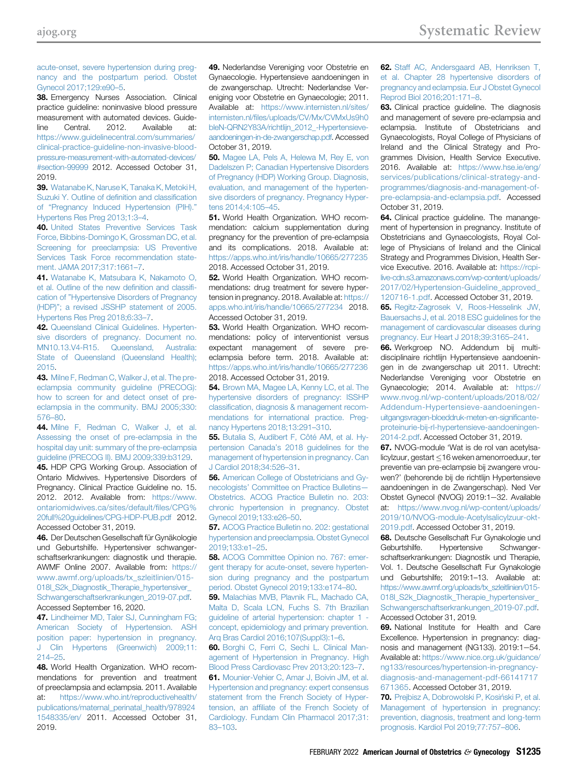[acute-onset, severe hypertension during preg](http://refhub.elsevier.com/S0002-9378(20)30846-2/sref37)[nancy and the postpartum period. Obstet](http://refhub.elsevier.com/S0002-9378(20)30846-2/sref37) [Gynecol 2017;129:e90](http://refhub.elsevier.com/S0002-9378(20)30846-2/sref37)–5.

<span id="page-13-0"></span>38. Emergency Nurses Association. Clinical practice guideline: noninvasive blood pressure measurement with automated devices. Guideline Central. 2012. Available at: [https://www.guidelinecentral.com/summaries/](https://www.guidelinecentral.com/summaries/clinical-practice-guideline-non-invasive-blood-pressure-measurement-with-automated-devices/#section-99999) [clinical-practice-guideline-non-invasive-blood](https://www.guidelinecentral.com/summaries/clinical-practice-guideline-non-invasive-blood-pressure-measurement-with-automated-devices/#section-99999)[pressure-measurement-with-automated-devices/](https://www.guidelinecentral.com/summaries/clinical-practice-guideline-non-invasive-blood-pressure-measurement-with-automated-devices/#section-99999) [#section-99999](https://www.guidelinecentral.com/summaries/clinical-practice-guideline-non-invasive-blood-pressure-measurement-with-automated-devices/#section-99999) 2012. Accessed October 31, 2019.

39. [Watanabe K, Naruse K, Tanaka K, Metoki H,](http://refhub.elsevier.com/S0002-9378(20)30846-2/sref39) [Suzuki Y. Outline of de](http://refhub.elsevier.com/S0002-9378(20)30846-2/sref39)finition and classification of "[Pregnancy Induced Hypertension \(PIH\).](http://refhub.elsevier.com/S0002-9378(20)30846-2/sref39)" [Hypertens Res Preg 2013;1:3](http://refhub.elsevier.com/S0002-9378(20)30846-2/sref39)–4.

40. [United States Preventive Services Task](http://refhub.elsevier.com/S0002-9378(20)30846-2/sref40) [Force, Bibbins-Domingo K, Grossman DC, et al.](http://refhub.elsevier.com/S0002-9378(20)30846-2/sref40) [Screening for preeclampsia: US Preventive](http://refhub.elsevier.com/S0002-9378(20)30846-2/sref40) [Services Task Force recommendation state](http://refhub.elsevier.com/S0002-9378(20)30846-2/sref40)[ment. JAMA 2017;317:1661](http://refhub.elsevier.com/S0002-9378(20)30846-2/sref40)–7.

41. [Watanabe K, Matsubara K, Nakamoto O,](http://refhub.elsevier.com/S0002-9378(20)30846-2/sref41) [et al. Outline of the new de](http://refhub.elsevier.com/S0002-9378(20)30846-2/sref41)finition and classification of "[Hypertensive Disorders of Pregnancy](http://refhub.elsevier.com/S0002-9378(20)30846-2/sref41) (HDP)"[; a revised JSSHP statement of 2005.](http://refhub.elsevier.com/S0002-9378(20)30846-2/sref41) [Hypertens Res Preg 2018;6:33](http://refhub.elsevier.com/S0002-9378(20)30846-2/sref41)–7.

<span id="page-13-1"></span>42. [Queensland Clinical Guidelines. Hyperten](http://refhub.elsevier.com/S0002-9378(20)30846-2/sref42)[sive disorders of pregnancy. Document no.](http://refhub.elsevier.com/S0002-9378(20)30846-2/sref42) [MN10.13.V4-R15. Queensland, Australia:](http://refhub.elsevier.com/S0002-9378(20)30846-2/sref42) [State of Queensland \(Queensland Health\);](http://refhub.elsevier.com/S0002-9378(20)30846-2/sref42) [2015](http://refhub.elsevier.com/S0002-9378(20)30846-2/sref42).

43. [Milne F, Redman C, Walker J, et al. The pre](http://refhub.elsevier.com/S0002-9378(20)30846-2/sref43)[eclampsia community guideline \(PRECOG\):](http://refhub.elsevier.com/S0002-9378(20)30846-2/sref43) [how to screen for and detect onset of pre](http://refhub.elsevier.com/S0002-9378(20)30846-2/sref43)[eclampsia in the community. BMJ 2005;330:](http://refhub.elsevier.com/S0002-9378(20)30846-2/sref43) [576](http://refhub.elsevier.com/S0002-9378(20)30846-2/sref43)–80.

44. [Milne F, Redman C, Walker J, et al.](http://refhub.elsevier.com/S0002-9378(20)30846-2/sref44) [Assessing the onset of pre-eclampsia in the](http://refhub.elsevier.com/S0002-9378(20)30846-2/sref44) [hospital day unit: summary of the pre-eclampsia](http://refhub.elsevier.com/S0002-9378(20)30846-2/sref44) [guideline \(PRECOG II\). BMJ 2009;339:b3129.](http://refhub.elsevier.com/S0002-9378(20)30846-2/sref44)

45. HDP CPG Working Group. Association of Ontario Midwives. Hypertensive Disorders of Pregnancy. Clinical Practice Guideline no. 15. 2012. 2012. Available from: [https://www.](https://www.ontariomidwives.ca/sites/default/files/CPG%20full%20guidelines/CPG-HDP-PUB.pdf) [ontariomidwives.ca/sites/default/](https://www.ontariomidwives.ca/sites/default/files/CPG%20full%20guidelines/CPG-HDP-PUB.pdf)files/CPG% [20full%20guidelines/CPG-HDP-PUB.pdf](https://www.ontariomidwives.ca/sites/default/files/CPG%20full%20guidelines/CPG-HDP-PUB.pdf) 2012. Accessed October 31, 2019.

<span id="page-13-2"></span>46. Der Deutschen Gesellschaft für Gynäkologie und Geburtshilfe. Hypertensiver schwangerschaftserkrankungen: diagnostik und therapie. AWMF Online 2007. Available from: [https://](https://www.awmf.org/uploads/tx_szleitlinien/015-018l_S2k_Diagnostik_Therapie_hypertensiver_Schwangerschaftserkrankungen_2019-07.pdf) [www.awmf.org/uploads/tx\\_szleitlinien/015-](https://www.awmf.org/uploads/tx_szleitlinien/015-018l_S2k_Diagnostik_Therapie_hypertensiver_Schwangerschaftserkrankungen_2019-07.pdf) [018l\\_S2k\\_Diagnostik\\_Therapie\\_hypertensiver\\_](https://www.awmf.org/uploads/tx_szleitlinien/015-018l_S2k_Diagnostik_Therapie_hypertensiver_Schwangerschaftserkrankungen_2019-07.pdf) [Schwangerschaftserkrankungen\\_2019-07.pdf](https://www.awmf.org/uploads/tx_szleitlinien/015-018l_S2k_Diagnostik_Therapie_hypertensiver_Schwangerschaftserkrankungen_2019-07.pdf). Accessed September 16, 2020.

<span id="page-13-3"></span>47. [Lindheimer MD, Taler SJ, Cunningham FG;](http://refhub.elsevier.com/S0002-9378(20)30846-2/sref47) [American Society of Hypertension. ASH](http://refhub.elsevier.com/S0002-9378(20)30846-2/sref47) [position paper: hypertension in pregnancy.](http://refhub.elsevier.com/S0002-9378(20)30846-2/sref47) [J Clin Hypertens \(Greenwich\) 2009;11:](http://refhub.elsevier.com/S0002-9378(20)30846-2/sref47) [214](http://refhub.elsevier.com/S0002-9378(20)30846-2/sref47)–25.

<span id="page-13-4"></span>48. World Health Organization. WHO recommendations for prevention and treatment of preeclampsia and eclampsia. 2011. Available at: [https://www.who.int/reproductivehealth/](https://www.who.int/reproductivehealth/publications/maternal_perinatal_health/9789241548335/en/) [publications/maternal\\_perinatal\\_health/978924](https://www.who.int/reproductivehealth/publications/maternal_perinatal_health/9789241548335/en/) [1548335/en/](https://www.who.int/reproductivehealth/publications/maternal_perinatal_health/9789241548335/en/) 2011. Accessed October 31, 2019.

<span id="page-13-17"></span>49. Nederlandse Vereniging voor Obstetrie en Gynaecologie. Hypertensieve aandoeningen in de zwangerschap. Utrecht: Nederlandse Vereniging voor Obstetrie en Gynaecologie; 2011. Available at: [https://www.internisten.nl/sites/](https://www.internisten.nl/sites/internisten.nl/files/uploads/CV/Mx/CVMxUs9h0bleN-QRN2Y83A/richtlijn_2012_-Hypertensieve-aandoeningen-in-de-zwangerschap.pdf) internisten.nl/fi[les/uploads/CV/Mx/CVMxUs9h0](https://www.internisten.nl/sites/internisten.nl/files/uploads/CV/Mx/CVMxUs9h0bleN-QRN2Y83A/richtlijn_2012_-Hypertensieve-aandoeningen-in-de-zwangerschap.pdf) [bleN-QRN2Y83A/richtlijn\\_2012\\_-Hypertensieve](https://www.internisten.nl/sites/internisten.nl/files/uploads/CV/Mx/CVMxUs9h0bleN-QRN2Y83A/richtlijn_2012_-Hypertensieve-aandoeningen-in-de-zwangerschap.pdf)[aandoeningen-in-de-zwangerschap.pdf.](https://www.internisten.nl/sites/internisten.nl/files/uploads/CV/Mx/CVMxUs9h0bleN-QRN2Y83A/richtlijn_2012_-Hypertensieve-aandoeningen-in-de-zwangerschap.pdf) Accessed October 31, 2019.

<span id="page-13-8"></span>50. [Magee LA, Pels A, Helewa M, Rey E, von](http://refhub.elsevier.com/S0002-9378(20)30846-2/sref50) [Dadelszen P; Canadian Hypertensive Disorders](http://refhub.elsevier.com/S0002-9378(20)30846-2/sref50) [of Pregnancy \(HDP\) Working Group. Diagnosis,](http://refhub.elsevier.com/S0002-9378(20)30846-2/sref50) [evaluation, and management of the hyperten](http://refhub.elsevier.com/S0002-9378(20)30846-2/sref50)[sive disorders of pregnancy. Pregnancy Hyper](http://refhub.elsevier.com/S0002-9378(20)30846-2/sref50)[tens 2014;4:105](http://refhub.elsevier.com/S0002-9378(20)30846-2/sref50)–45.

<span id="page-13-5"></span>51. World Health Organization. WHO recommendation: calcium supplementation during pregnancy for the prevention of pre-eclampsia and its complications. 2018. Available at: <https://apps.who.int/iris/handle/10665/277235> 2018. Accessed October 31, 2019.

52. World Health Organization. WHO recommendations: drug treatment for severe hypertension in pregnancy. 2018. Available at: [https://](https://apps.who.int/iris/handle/10665/277234) [apps.who.int/iris/handle/10665/277234](https://apps.who.int/iris/handle/10665/277234) 2018. Accessed October 31, 2019.

53. World Health Organization. WHO recommendations: policy of interventionist versus expectant management of severe preeclampsia before term. 2018. Available at: <https://apps.who.int/iris/handle/10665/277236> 2018. Accessed October 31, 2019.

<span id="page-13-7"></span>54. [Brown MA, Magee LA, Kenny LC, et al. The](http://refhub.elsevier.com/S0002-9378(20)30846-2/sref54) [hypertensive disorders of pregnancy: ISSHP](http://refhub.elsevier.com/S0002-9378(20)30846-2/sref54) classifi[cation, diagnosis & management recom](http://refhub.elsevier.com/S0002-9378(20)30846-2/sref54)[mendations for international practice. Preg](http://refhub.elsevier.com/S0002-9378(20)30846-2/sref54)[nancy Hypertens 2018;13:291](http://refhub.elsevier.com/S0002-9378(20)30846-2/sref54)–310.

<span id="page-13-9"></span>55. [Butalia S, Audibert F, Côté AM, et al. Hy](http://refhub.elsevier.com/S0002-9378(20)30846-2/sref55)pertension Canada'[s 2018 guidelines for the](http://refhub.elsevier.com/S0002-9378(20)30846-2/sref55) [management of hypertension in pregnancy. Can](http://refhub.elsevier.com/S0002-9378(20)30846-2/sref55) [J Cardiol 2018;34:526](http://refhub.elsevier.com/S0002-9378(20)30846-2/sref55)–31.

<span id="page-13-10"></span>**56.** [American College of Obstetricians and Gy](http://refhub.elsevier.com/S0002-9378(20)30846-2/sref56)necologists' [Committee on Practice Bulletins](http://refhub.elsevier.com/S0002-9378(20)30846-2/sref56)— [Obstetrics. ACOG Practice Bulletin no. 203:](http://refhub.elsevier.com/S0002-9378(20)30846-2/sref56) [chronic hypertension in pregnancy. Obstet](http://refhub.elsevier.com/S0002-9378(20)30846-2/sref56) [Gynecol 2019;133:e26](http://refhub.elsevier.com/S0002-9378(20)30846-2/sref56)–50.

57. [ACOG Practice Bulletin no. 202: gestational](http://refhub.elsevier.com/S0002-9378(20)30846-2/sref57) [hypertension and preeclampsia. Obstet Gynecol](http://refhub.elsevier.com/S0002-9378(20)30846-2/sref57) [2019;133:e1](http://refhub.elsevier.com/S0002-9378(20)30846-2/sref57)–25.

**58.** [ACOG Committee Opinion no. 767: emer](http://refhub.elsevier.com/S0002-9378(20)30846-2/sref58)[gent therapy for acute-onset, severe hyperten](http://refhub.elsevier.com/S0002-9378(20)30846-2/sref58)[sion during pregnancy and the postpartum](http://refhub.elsevier.com/S0002-9378(20)30846-2/sref58) [period. Obstet Gynecol 2019;133:e174](http://refhub.elsevier.com/S0002-9378(20)30846-2/sref58)–80.

<span id="page-13-11"></span>59. [Malachias MVB, Plavnik FL, Machado CA,](http://refhub.elsevier.com/S0002-9378(20)30846-2/sref59) [Malta D, Scala LCN, Fuchs S. 7th Brazilian](http://refhub.elsevier.com/S0002-9378(20)30846-2/sref59) [guideline of arterial hypertension: chapter 1](http://refhub.elsevier.com/S0002-9378(20)30846-2/sref59)  [concept, epidemiology and primary prevention.](http://refhub.elsevier.com/S0002-9378(20)30846-2/sref59) [Arq Bras Cardiol 2016;107\(Suppl3\):1](http://refhub.elsevier.com/S0002-9378(20)30846-2/sref59)–6.

<span id="page-13-12"></span>60. [Borghi C, Ferri C, Sechi L. Clinical Man](http://refhub.elsevier.com/S0002-9378(20)30846-2/sref60)[agement of Hypertension in Pregnancy. High](http://refhub.elsevier.com/S0002-9378(20)30846-2/sref60) [Blood Press Cardiovasc Prev 2013;20:123](http://refhub.elsevier.com/S0002-9378(20)30846-2/sref60)–7.

<span id="page-13-13"></span>61. [Mounier-Vehier C, Amar J, Boivin JM, et al.](http://refhub.elsevier.com/S0002-9378(20)30846-2/sref61) [Hypertension and pregnancy: expert consensus](http://refhub.elsevier.com/S0002-9378(20)30846-2/sref61) [statement from the French Society of Hyper](http://refhub.elsevier.com/S0002-9378(20)30846-2/sref61)tension, an affi[liate of the French Society of](http://refhub.elsevier.com/S0002-9378(20)30846-2/sref61) [Cardiology. Fundam Clin Pharmacol 2017;31:](http://refhub.elsevier.com/S0002-9378(20)30846-2/sref61) 83–[103](http://refhub.elsevier.com/S0002-9378(20)30846-2/sref61).

#### <span id="page-13-14"></span>62. [Staff AC, Andersgaard AB, Henriksen T,](http://refhub.elsevier.com/S0002-9378(20)30846-2/sref62) [et al. Chapter 28 hypertensive disorders of](http://refhub.elsevier.com/S0002-9378(20)30846-2/sref62) [pregnancy and eclampsia. Eur J Obstet Gynecol](http://refhub.elsevier.com/S0002-9378(20)30846-2/sref62) [Reprod Biol 2016;201:171](http://refhub.elsevier.com/S0002-9378(20)30846-2/sref62)–8.

<span id="page-13-15"></span>63. Clinical practice guideline. The diagnosis and management of severe pre-eclampsia and eclampsia. Institute of Obstetricians and Gynaecologists, Royal College of Physicians of Ireland and the Clinical Strategy and Programmes Division, Health Service Executive. 2016. Available at: [https://www.hse.ie/eng/](https://www.hse.ie/eng/services/publications/clinical-strategy-and-programmes/diagnosis-and-management-of-pre-eclampsia-and-eclampsia.pdf) [services/publications/clinical-strategy-and](https://www.hse.ie/eng/services/publications/clinical-strategy-and-programmes/diagnosis-and-management-of-pre-eclampsia-and-eclampsia.pdf)[programmes/diagnosis-and-management-of](https://www.hse.ie/eng/services/publications/clinical-strategy-and-programmes/diagnosis-and-management-of-pre-eclampsia-and-eclampsia.pdf)[pre-eclampsia-and-eclampsia.pdf.](https://www.hse.ie/eng/services/publications/clinical-strategy-and-programmes/diagnosis-and-management-of-pre-eclampsia-and-eclampsia.pdf) Accessed October 31, 2019.

<span id="page-13-16"></span>64. Clinical practice guideline. The manangement of hypertension in pregnancy. Institute of Obstetricians and Gynaecologists, Royal College of Physicians of Ireland and the Clinical Strategy and Programmes Division, Health Service Executive. 2016. Available at: [https://rcpi](https://rcpi-live-cdn.s3.amazonaws.com/wp-content/uploads/2017/02/Hypertension-Guideline_approved_120716-1.pdf)[live-cdn.s3.amazonaws.com/wp-content/uploads/](https://rcpi-live-cdn.s3.amazonaws.com/wp-content/uploads/2017/02/Hypertension-Guideline_approved_120716-1.pdf) [2017/02/Hypertension-Guideline\\_approved\\_](https://rcpi-live-cdn.s3.amazonaws.com/wp-content/uploads/2017/02/Hypertension-Guideline_approved_120716-1.pdf) [120716-1.pdf.](https://rcpi-live-cdn.s3.amazonaws.com/wp-content/uploads/2017/02/Hypertension-Guideline_approved_120716-1.pdf) Accessed October 31, 2019.

<span id="page-13-6"></span>65. [Regitz-Zagrosek V, Roos-Hesselink JW,](http://refhub.elsevier.com/S0002-9378(20)30846-2/sref65) [Bauersachs J, et al. 2018 ESC guidelines for the](http://refhub.elsevier.com/S0002-9378(20)30846-2/sref65) [management of cardiovascular diseases during](http://refhub.elsevier.com/S0002-9378(20)30846-2/sref65) [pregnancy. Eur Heart J 2018;39:3165](http://refhub.elsevier.com/S0002-9378(20)30846-2/sref65)–241.

<span id="page-13-18"></span>66. Werkgroep NO. Addendum bij multidisciplinaire richtlijn Hypertensieve aandoeningen in de zwangerschap uit 2011. Utrecht: Nederlandse Vereniging voor Obstetrie en Gynaecologie; 2014. Available at: [https://](https://www.nvog.nl/wp-content/uploads/2018/02/Addendum-Hypertensieve-aandoeningen-uitgangsvragen-bloeddruk-meten-en-significante-proteinurie-bij-rl-hypertensieve-aandoeningen-2014-2.pdf) [www.nvog.nl/wp-content/uploads/2018/02/](https://www.nvog.nl/wp-content/uploads/2018/02/Addendum-Hypertensieve-aandoeningen-uitgangsvragen-bloeddruk-meten-en-significante-proteinurie-bij-rl-hypertensieve-aandoeningen-2014-2.pdf) [Addendum-Hypertensieve-aandoeningen](https://www.nvog.nl/wp-content/uploads/2018/02/Addendum-Hypertensieve-aandoeningen-uitgangsvragen-bloeddruk-meten-en-significante-proteinurie-bij-rl-hypertensieve-aandoeningen-2014-2.pdf)[uitgangsvragen-bloeddruk-meten-en-signi](https://www.nvog.nl/wp-content/uploads/2018/02/Addendum-Hypertensieve-aandoeningen-uitgangsvragen-bloeddruk-meten-en-significante-proteinurie-bij-rl-hypertensieve-aandoeningen-2014-2.pdf)ficante[proteinurie-bij-rl-hypertensieve-aandoeningen-](https://www.nvog.nl/wp-content/uploads/2018/02/Addendum-Hypertensieve-aandoeningen-uitgangsvragen-bloeddruk-meten-en-significante-proteinurie-bij-rl-hypertensieve-aandoeningen-2014-2.pdf)[2014-2.pdf](https://www.nvog.nl/wp-content/uploads/2018/02/Addendum-Hypertensieve-aandoeningen-uitgangsvragen-bloeddruk-meten-en-significante-proteinurie-bij-rl-hypertensieve-aandoeningen-2014-2.pdf). Accessed October 31, 2019.

<span id="page-13-19"></span>67. NVOG-module 'Wat is de rol van acetylsalicylzuur, gestart  $\leq$ 16 weken amenorroeduur, ter preventie van pre-eclampsie bij zwangere vrouwen?' (behorende bij de richtlijn Hypertensieve aandoeningen in de Zwangerschap). Ned Ver Obstet Gynecol (NVOG) 2019:1-32. Available

at: [https://www.nvog.nl/wp-content/uploads/](https://www.nvog.nl/wp-content/uploads/2019/10/NVOG-module-Acetylsalicylzuur-okt-2019.pdf) [2019/10/NVOG-module-Acetylsalicylzuur-okt-](https://www.nvog.nl/wp-content/uploads/2019/10/NVOG-module-Acetylsalicylzuur-okt-2019.pdf)[2019.pdf](https://www.nvog.nl/wp-content/uploads/2019/10/NVOG-module-Acetylsalicylzuur-okt-2019.pdf). Accessed October 31, 2019.

<span id="page-13-20"></span>68. Deutsche Gesellschaft Fur Gynakologie und Geburtshilfe. Hypertensive Schwangerschaftserkrankungen: Diagnostik und Therapie, Vol. 1. Deutsche Gesellschaft Fur Gynakologie und Geburtshilfe; 2019:1–13. Available at: [https://www.awmf.org/uploads/tx\\_szleitlinien/015-](https://www.awmf.org/uploads/tx_szleitlinien/015-018l_S2k_Diagnostik_Therapie_hypertensiver_Schwangerschaftserkrankungen_2019-07.pdf) 018I S2k Diagnostik Therapie hypertensiver [Schwangerschaftserkrankungen\\_2019-07.pdf](https://www.awmf.org/uploads/tx_szleitlinien/015-018l_S2k_Diagnostik_Therapie_hypertensiver_Schwangerschaftserkrankungen_2019-07.pdf). Accessed October 31, 2019.

<span id="page-13-21"></span>**69.** National Institute for Health and Care Excellence. Hypertension in pregnancy: diagnosis and management (NG133). 2019:1-54. Available at: [https://www.nice.org.uk/guidance/](https://www.nice.org.uk/guidance/ng133/resources/hypertension-in-pregnancy-diagnosis-and-management-pdf-66141717671365) [ng133/resources/hypertension-in-pregnancy](https://www.nice.org.uk/guidance/ng133/resources/hypertension-in-pregnancy-diagnosis-and-management-pdf-66141717671365)[diagnosis-and-management-pdf-66141717](https://www.nice.org.uk/guidance/ng133/resources/hypertension-in-pregnancy-diagnosis-and-management-pdf-66141717671365) [671365.](https://www.nice.org.uk/guidance/ng133/resources/hypertension-in-pregnancy-diagnosis-and-management-pdf-66141717671365) Accessed October 31, 2019.

<span id="page-13-22"></span>70. Prejbisz A, Dobrowolski P, Kosiński P, et al. [Management of hypertension in pregnancy:](http://refhub.elsevier.com/S0002-9378(20)30846-2/sref70) [prevention, diagnosis, treatment and long-term](http://refhub.elsevier.com/S0002-9378(20)30846-2/sref70) [prognosis. Kardiol Pol 2019;77:757](http://refhub.elsevier.com/S0002-9378(20)30846-2/sref70)–806.